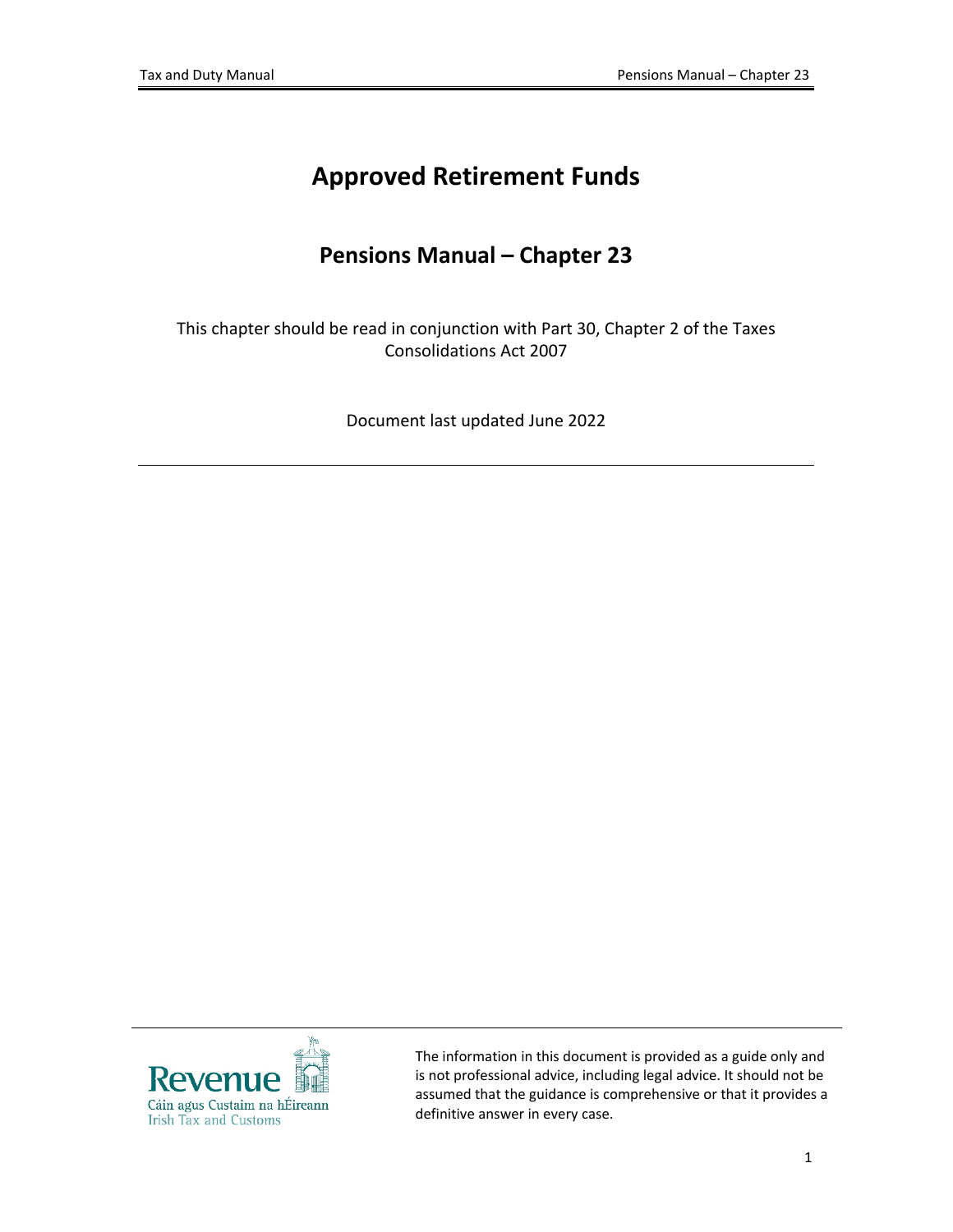# **Approved Retirement Funds**

# **Pensions Manual – Chapter 23**

This chapter should be read in conjunction with Part 30, Chapter 2 of the Taxes Consolidations Act 2007

Document last updated June 2022



The information in this document is provided as a guide only and is not professional advice, including legal advice. It should not be assumed that the guidance is comprehensive or that it provides a definitive answer in every case.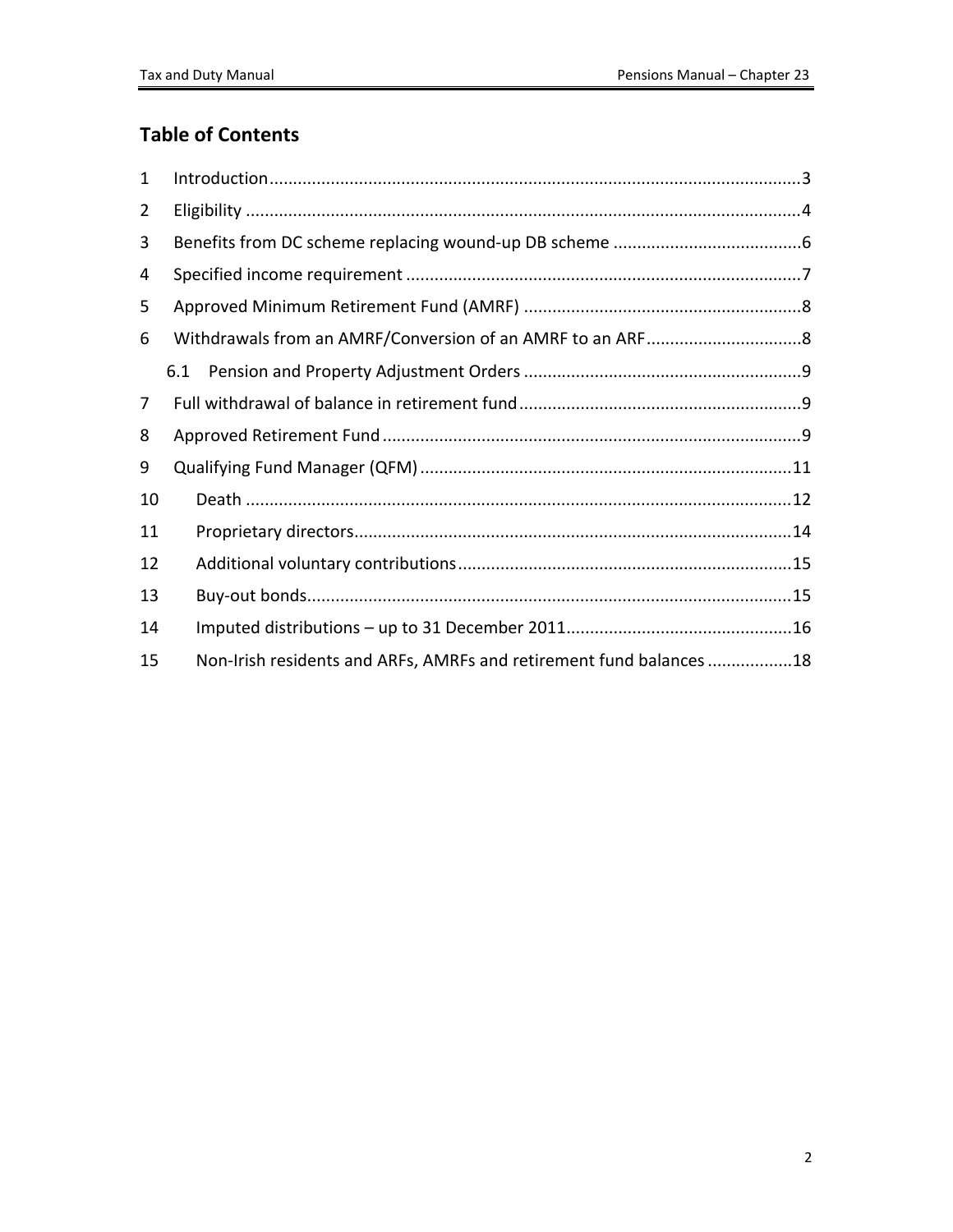## **Table of Contents**

| $\mathbf{1}$   |                                                                     |  |  |  |  |  |
|----------------|---------------------------------------------------------------------|--|--|--|--|--|
| 2              |                                                                     |  |  |  |  |  |
| 3              |                                                                     |  |  |  |  |  |
| 4              |                                                                     |  |  |  |  |  |
| 5              |                                                                     |  |  |  |  |  |
| 6              |                                                                     |  |  |  |  |  |
|                | 6.1                                                                 |  |  |  |  |  |
| $\overline{7}$ |                                                                     |  |  |  |  |  |
| 8              |                                                                     |  |  |  |  |  |
| 9              |                                                                     |  |  |  |  |  |
| 10             |                                                                     |  |  |  |  |  |
| 11             |                                                                     |  |  |  |  |  |
| 12             |                                                                     |  |  |  |  |  |
| 13             |                                                                     |  |  |  |  |  |
| 14             |                                                                     |  |  |  |  |  |
| 15             | Non-Irish residents and ARFs, AMRFs and retirement fund balances 18 |  |  |  |  |  |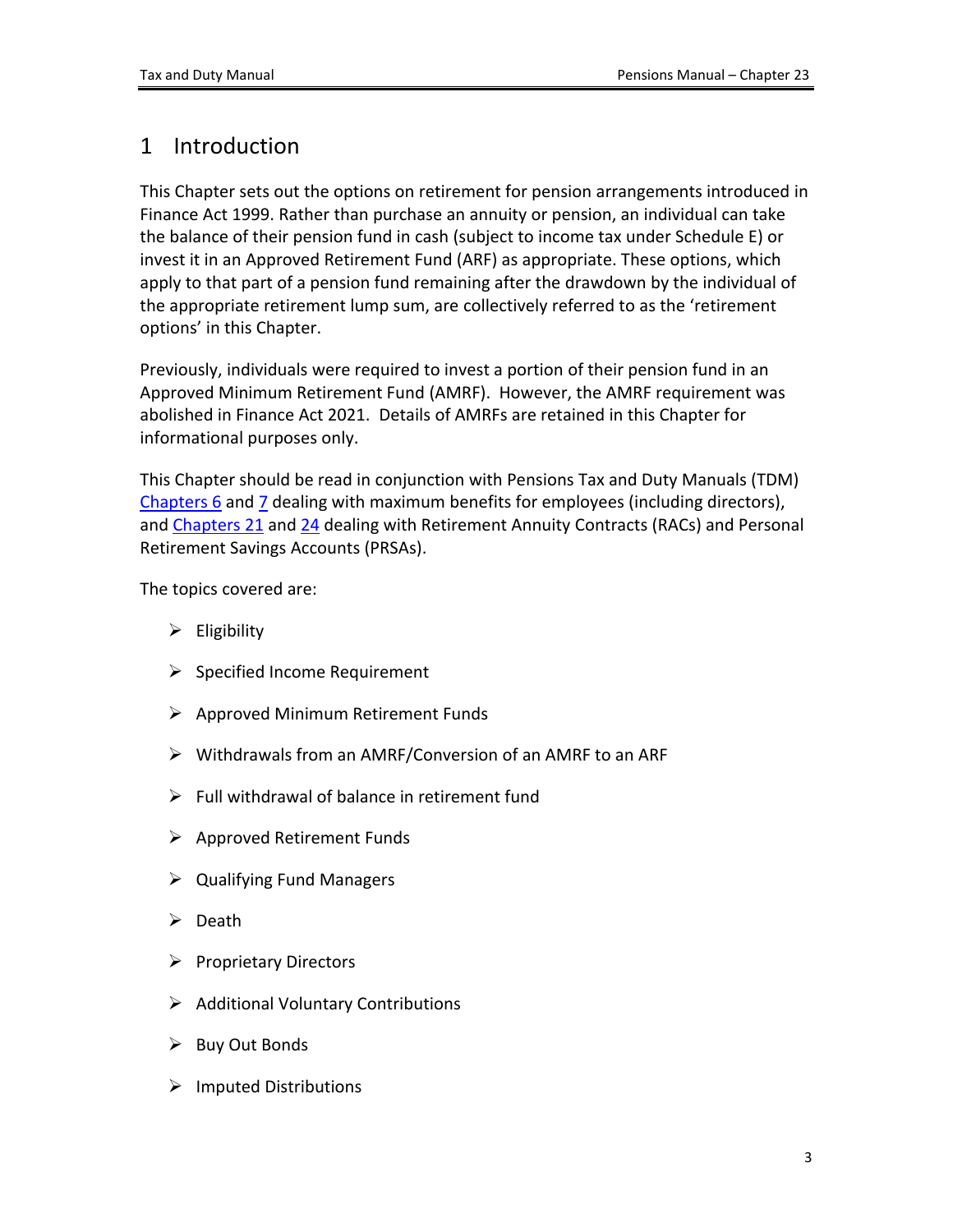# <span id="page-2-0"></span>1 Introduction

This Chapter sets out the options on retirement for pension arrangements introduced in Finance Act 1999. Rather than purchase an annuity or pension, an individual can take the balance of their pension fund in cash (subject to income tax under Schedule E) or invest it in an Approved Retirement Fund (ARF) as appropriate. These options, which apply to that part of a pension fund remaining after the drawdown by the individual of the appropriate retirement lump sum, are collectively referred to as the 'retirement options' in this Chapter.

Previously, individuals were required to invest a portion of their pension fund in an Approved Minimum Retirement Fund (AMRF). However, the AMRF requirement was abolished in Finance Act 2021. Details of AMRFs are retained in this Chapter for informational purposes only.

This Chapter should be read in conjunction with Pensions Tax and Duty Manuals (TDM) [Chapters](https://www.revenue.ie/en/tax-professionals/tdm/pensions/chapter-06.pdf) [6](https://www.revenue.ie/en/tax-professionals/tdm/pensions/chapter-06.pdf) and [7](https://www.revenue.ie/en/tax-professionals/tdm/pensions/chapter-07.pdf) dealing with maximum benefits for employees (including directors), and [Chapters](https://www.revenue.ie/en/tax-professionals/tdm/pensions/chapter-21.pdf) [21](https://www.revenue.ie/en/tax-professionals/tdm/pensions/chapter-21.pdf) and [24](https://www.revenue.ie/en/tax-professionals/tdm/pensions/chapter-24.pdf) dealing with Retirement Annuity Contracts (RACs) and Personal Retirement Savings Accounts (PRSAs).

The topics covered are:

- $\triangleright$  Eligibility
- $\triangleright$  Specified Income Requirement
- $\triangleright$  Approved Minimum Retirement Funds
- Withdrawals from an AMRF/Conversion of an AMRF to an ARF
- $\triangleright$  Full withdrawal of balance in retirement fund
- $\triangleright$  Approved Retirement Funds
- $\triangleright$  Qualifying Fund Managers
- $\triangleright$  Death
- $\triangleright$  Proprietary Directors
- $\triangleright$  Additional Voluntary Contributions
- $\triangleright$  Buy Out Bonds
- $\triangleright$  Imputed Distributions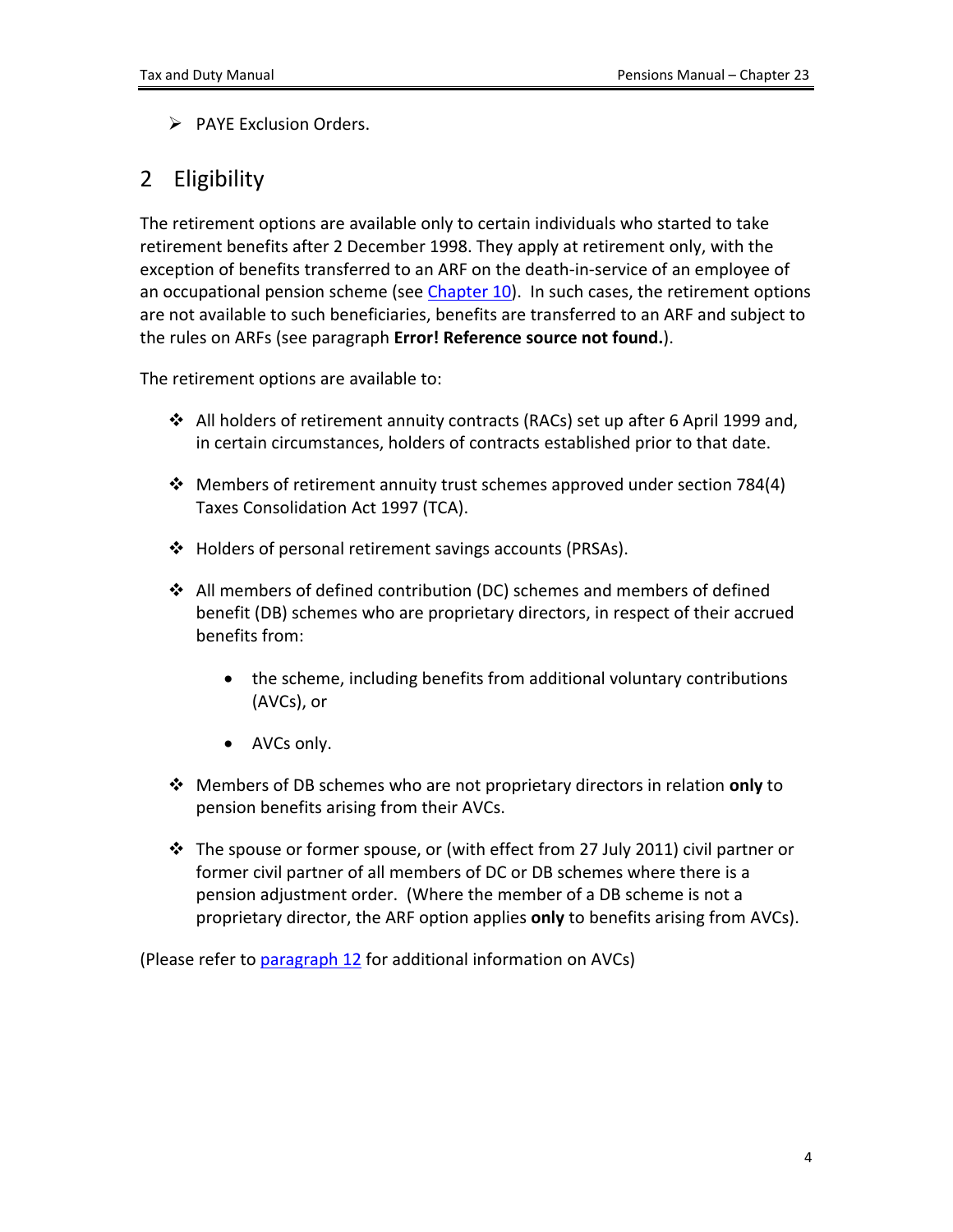<span id="page-3-1"></span> $\triangleright$  PAYE Exclusion Orders.

# <span id="page-3-0"></span>2 Eligibility

The retirement options are available only to certain individuals who started to take retirement benefits after 2 December 1998. They apply at retirement only, with the exception of benefits transferred to an ARF on the death-in-service of an employee of an occupational pension scheme (see [Chapter](https://www.revenue.ie/en/tax-professionals/tdm/pensions/chapter-10.pdf) [10\)](https://www.revenue.ie/en/tax-professionals/tdm/pensions/chapter-10.pdf). In such cases, the retirement options are not available to such beneficiaries, benefits are transferred to an ARF and subject to the rules on ARFs (see paragraph **Error! Reference source not found.**).

The retirement options are available to:

- $\div$  All holders of retirement annuity contracts (RACs) set up after 6 April 1999 and, in certain circumstances, holders of contracts established prior to that date.
- Members of retirement annuity trust schemes approved under section 784(4) Taxes Consolidation Act 1997 (TCA).
- Holders of personal retirement savings accounts (PRSAs).
- $\div$  All members of defined contribution (DC) schemes and members of defined benefit (DB) schemes who are proprietary directors, in respect of their accrued benefits from:
	- the scheme, including benefits from additional voluntary contributions (AVCs), or
	- AVCs only.
- Members of DB schemes who are not proprietary directors in relation **only** to pension benefits arising from their AVCs.
- $\div$  The spouse or former spouse, or (with effect from 27 July 2011) civil partner or former civil partner of all members of DC or DB schemes where there is a pension adjustment order. (Where the member of a DB scheme is not a proprietary director, the ARF option applies **only** to benefits arising from AVCs).

(Please refer to [paragraph](#page-13-1) [12](#page-13-1) for additional information on AVCs)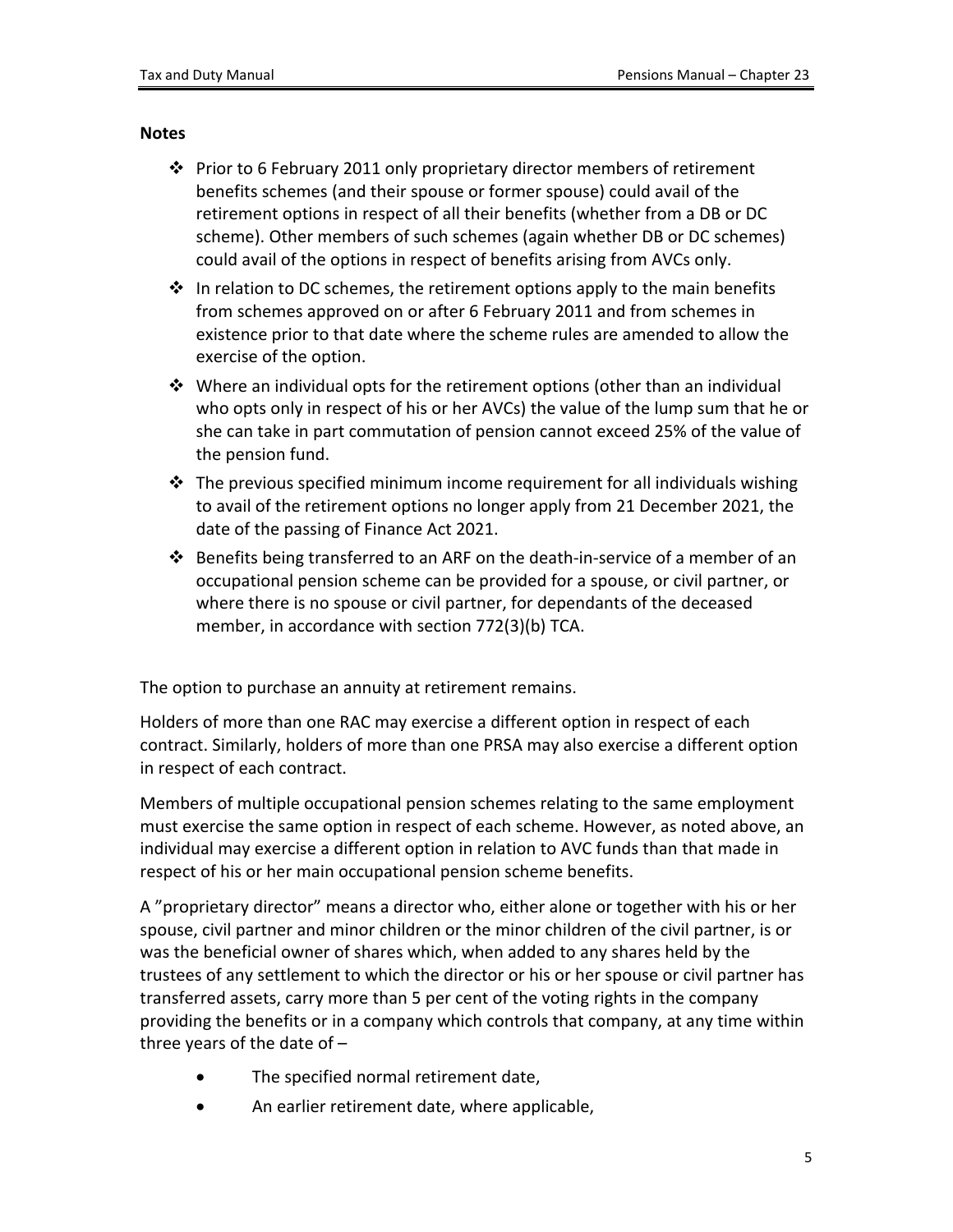#### **Notes**

- Prior to 6 February 2011 only proprietary director members of retirement benefits schemes (and their spouse or former spouse) could avail of the retirement options in respect of all their benefits (whether from a DB or DC scheme). Other members of such schemes (again whether DB or DC schemes) could avail of the options in respect of benefits arising from AVCs only.
- $\div$  In relation to DC schemes, the retirement options apply to the main benefits from schemes approved on or after 6 February 2011 and from schemes in existence prior to that date where the scheme rules are amended to allow the exercise of the option.
- $\div$  Where an individual opts for the retirement options (other than an individual who opts only in respect of his or her AVCs) the value of the lump sum that he or she can take in part commutation of pension cannot exceed 25% of the value of the pension fund.
- $\div$  The previous specified minimum income requirement for all individuals wishing to avail of the retirement options no longer apply from 21 December 2021, the date of the passing of Finance Act 2021.
- $\clubsuit$  Benefits being transferred to an ARF on the death-in-service of a member of an occupational pension scheme can be provided for a spouse, or civil partner, or where there is no spouse or civil partner, for dependants of the deceased member, in accordance with section 772(3)(b) TCA.

The option to purchase an annuity at retirement remains.

Holders of more than one RAC may exercise a different option in respect of each contract. Similarly, holders of more than one PRSA may also exercise a different option in respect of each contract.

Members of multiple occupational pension schemes relating to the same employment must exercise the same option in respect of each scheme. However, as noted above, an individual may exercise a different option in relation to AVC funds than that made in respect of his or her main occupational pension scheme benefits.

A "proprietary director" means a director who, either alone or together with his or her spouse, civil partner and minor children or the minor children of the civil partner, is or was the beneficial owner of shares which, when added to any shares held by the trustees of any settlement to which the director or his or her spouse or civil partner has transferred assets, carry more than 5 per cent of the voting rights in the company providing the benefits or in a company which controls that company, at any time within three years of the date of –

- The specified normal retirement date,
- An earlier retirement date, where applicable,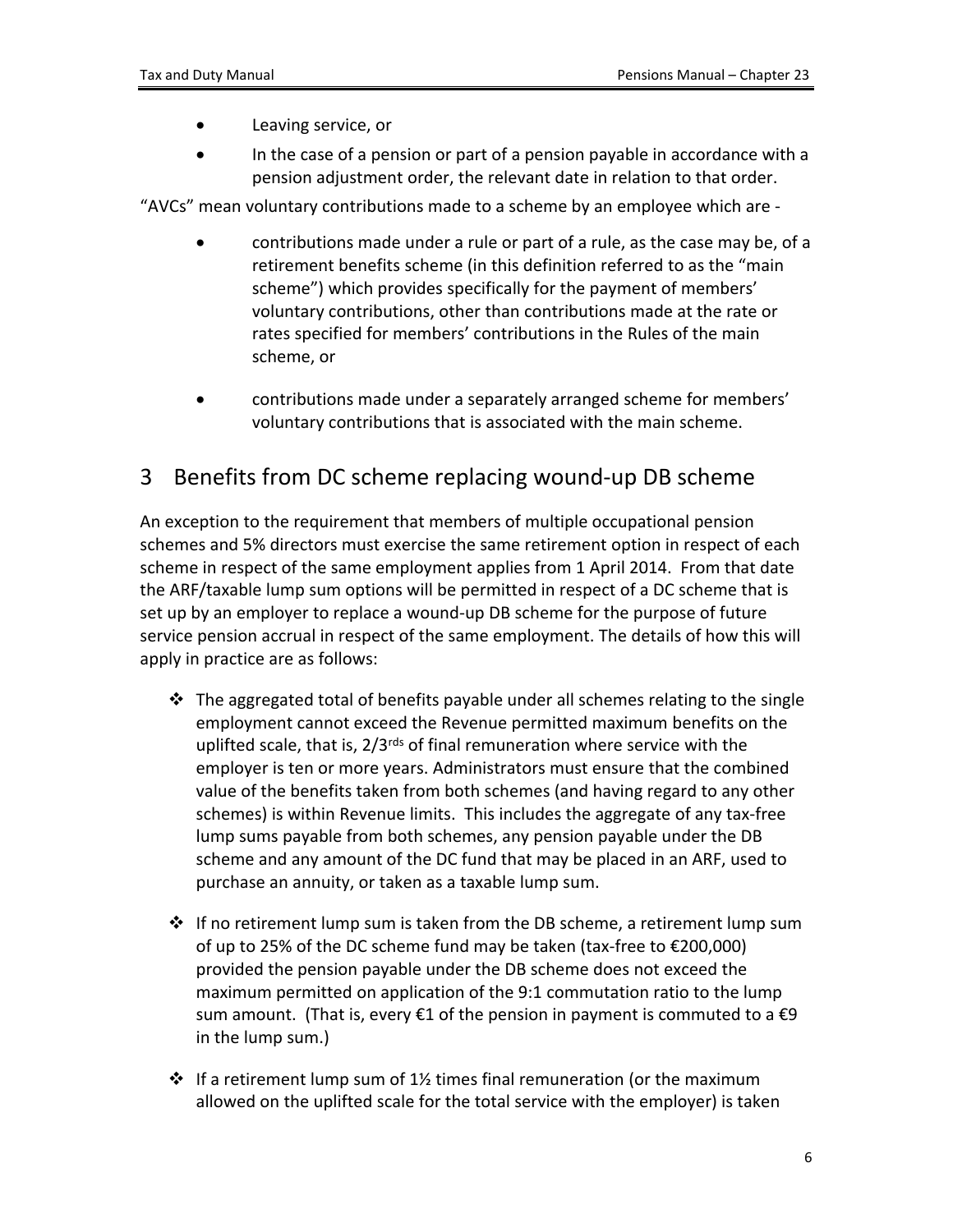- Leaving service, or
- In the case of a pension or part of a pension payable in accordance with a pension adjustment order, the relevant date in relation to that order.

"AVCs" mean voluntary contributions made to a scheme by an employee which are -

- contributions made under a rule or part of a rule, as the case may be, of a retirement benefits scheme (in this definition referred to as the "main scheme") which provides specifically for the payment of members' voluntary contributions, other than contributions made at the rate or rates specified for members' contributions in the Rules of the main scheme, or
- contributions made under a separately arranged scheme for members' voluntary contributions that is associated with the main scheme.

## <span id="page-5-0"></span>3 Benefits from DC scheme replacing wound-up DB scheme

An exception to the requirement that members of multiple occupational pension schemes and 5% directors must exercise the same retirement option in respect of each scheme in respect of the same employment applies from 1 April 2014. From that date the ARF/taxable lump sum options will be permitted in respect of a DC scheme that is set up by an employer to replace a wound-up DB scheme for the purpose of future service pension accrual in respect of the same employment. The details of how this will apply in practice are as follows:

- $\cdot \cdot$  The aggregated total of benefits payable under all schemes relating to the single employment cannot exceed the Revenue permitted maximum benefits on the uplifted scale, that is, 2/3<sup>rds</sup> of final remuneration where service with the employer is ten or more years. Administrators must ensure that the combined value of the benefits taken from both schemes (and having regard to any other schemes) is within Revenue limits. This includes the aggregate of any tax-free lump sums payable from both schemes, any pension payable under the DB scheme and any amount of the DC fund that may be placed in an ARF, used to purchase an annuity, or taken as a taxable lump sum.
- $\div$  If no retirement lump sum is taken from the DB scheme, a retirement lump sum of up to 25% of the DC scheme fund may be taken (tax-free to €200,000) provided the pension payable under the DB scheme does not exceed the maximum permitted on application of the 9:1 commutation ratio to the lump sum amount. (That is, every  $\epsilon$ 1 of the pension in payment is commuted to a  $\epsilon$ 9 in the lump sum.)
- $\div$  If a retirement lump sum of 1½ times final remuneration (or the maximum allowed on the uplifted scale for the total service with the employer) is taken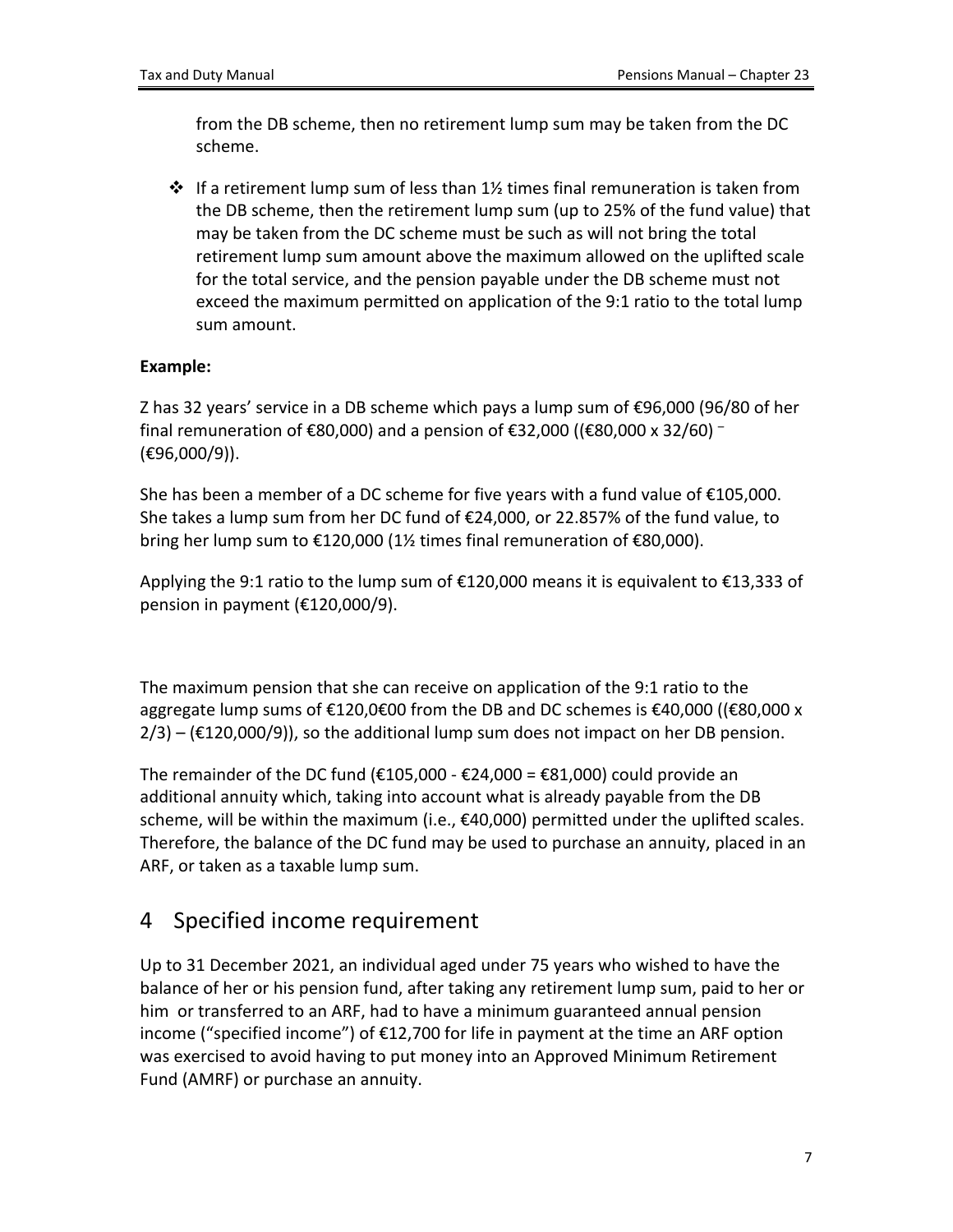from the DB scheme, then no retirement lump sum may be taken from the DC scheme.

 $\div$  If a retirement lump sum of less than 1% times final remuneration is taken from the DB scheme, then the retirement lump sum (up to 25% of the fund value) that may be taken from the DC scheme must be such as will not bring the total retirement lump sum amount above the maximum allowed on the uplifted scale for the total service, and the pension payable under the DB scheme must not exceed the maximum permitted on application of the 9:1 ratio to the total lump sum amount.

### **Example:**

Z has 32 years' service in a DB scheme which pays a lump sum of €96,000 (96/80 of her final remuneration of €80,000) and a pension of €32,000 ((€80,000 x 32/60)  $^{-}$ (€96,000/9)).

She has been a member of a DC scheme for five years with a fund value of €105,000. She takes a lump sum from her DC fund of €24,000, or 22.857% of the fund value, to bring her lump sum to €120,000 (1½ times final remuneration of €80,000).

Applying the 9:1 ratio to the lump sum of €120,000 means it is equivalent to €13,333 of pension in payment (€120,000/9).

The maximum pension that she can receive on application of the 9:1 ratio to the aggregate lump sums of €120,0€00 from the DB and DC schemes is €40,000 ((€80,000 x  $2/3$  – ( $\epsilon$ 120,000/9)), so the additional lump sum does not impact on her DB pension.

The remainder of the DC fund ( $\epsilon$ 105,000 -  $\epsilon$ 24,000 =  $\epsilon$ 81,000) could provide an additional annuity which, taking into account what is already payable from the DB scheme, will be within the maximum (i.e.,  $\epsilon$ 40,000) permitted under the uplifted scales. Therefore, the balance of the DC fund may be used to purchase an annuity, placed in an ARF, or taken as a taxable lump sum.

# <span id="page-6-0"></span>4 Specified income requirement

Up to 31 December 2021, an individual aged under 75 years who wished to have the balance of her or his pension fund, after taking any retirement lump sum, paid to her or him or transferred to an ARF, had to have a minimum guaranteed annual pension income ("specified income") of €12,700 for life in payment at the time an ARF option was exercised to avoid having to put money into an Approved Minimum Retirement Fund (AMRF) or purchase an annuity.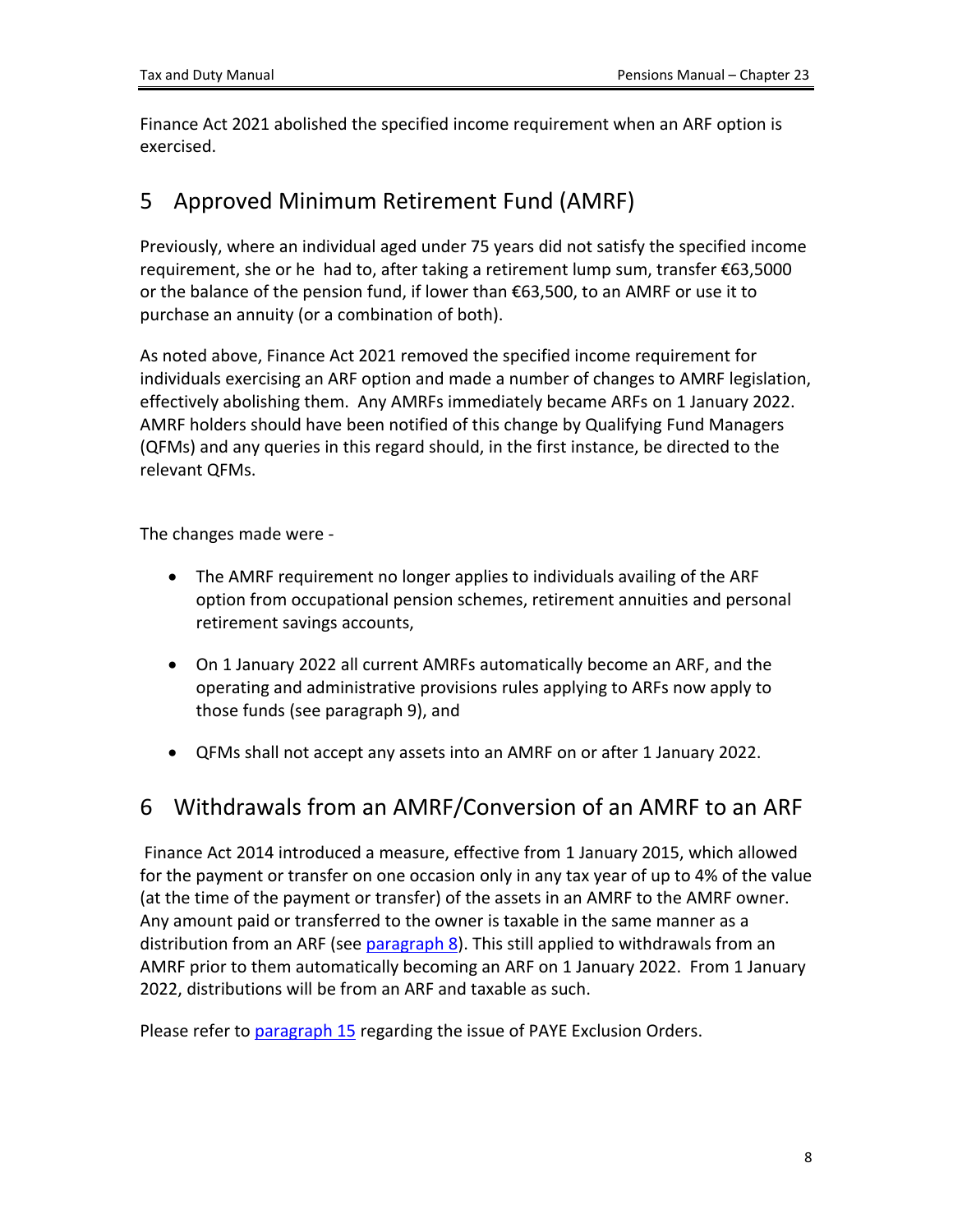Finance Act 2021 abolished the specified income requirement when an ARF option is exercised.

## <span id="page-7-0"></span>5 Approved Minimum Retirement Fund (AMRF)

Previously, where an individual aged under 75 years did not satisfy the specified income requirement, she or he had to, after taking a retirement lump sum, transfer €63,5000 or the balance of the pension fund, if lower than  $\epsilon$ 63,500, to an AMRF or use it to purchase an annuity (or a combination of both).

As noted above, Finance Act 2021 removed the specified income requirement for individuals exercising an ARF option and made a number of changes to AMRF legislation, effectively abolishing them. Any AMRFs immediately became ARFs on 1 January 2022. AMRF holders should have been notified of this change by Qualifying Fund Managers (QFMs) and any queries in this regard should, in the first instance, be directed to the relevant QFMs.

The changes made were -

- The AMRF requirement no longer applies to individuals availing of the ARF option from occupational pension schemes, retirement annuities and personal retirement savings accounts,
- On 1 January 2022 all current AMRFs automatically become an ARF, and the operating and administrative provisions rules applying to ARFs now apply to those funds (see paragraph 9), and
- QFMs shall not accept any assets into an AMRF on or after 1 January 2022.

# <span id="page-7-1"></span>6 Withdrawals from an AMRF/Conversion of an AMRF to an ARF

Finance Act 2014 introduced a measure, effective from 1 January 2015, which allowed for the payment or transfer on one occasion only in any tax year of up to 4% of the value (at the time of the payment or transfer) of the assets in an AMRF to the AMRF owner. Any amount paid or transferred to the owner is taxable in the same manner as a distribution from an ARF (see [paragraph](#page-8-2) [8](#page-8-2)). This still applied to withdrawals from an AMRF prior to them automatically becoming an ARF on 1 January 2022. From 1 January 2022, distributions will be from an ARF and taxable as such.

Please refer to [paragraph](#page-17-0) [15](#page-17-0) regarding the issue of PAYE Exclusion Orders.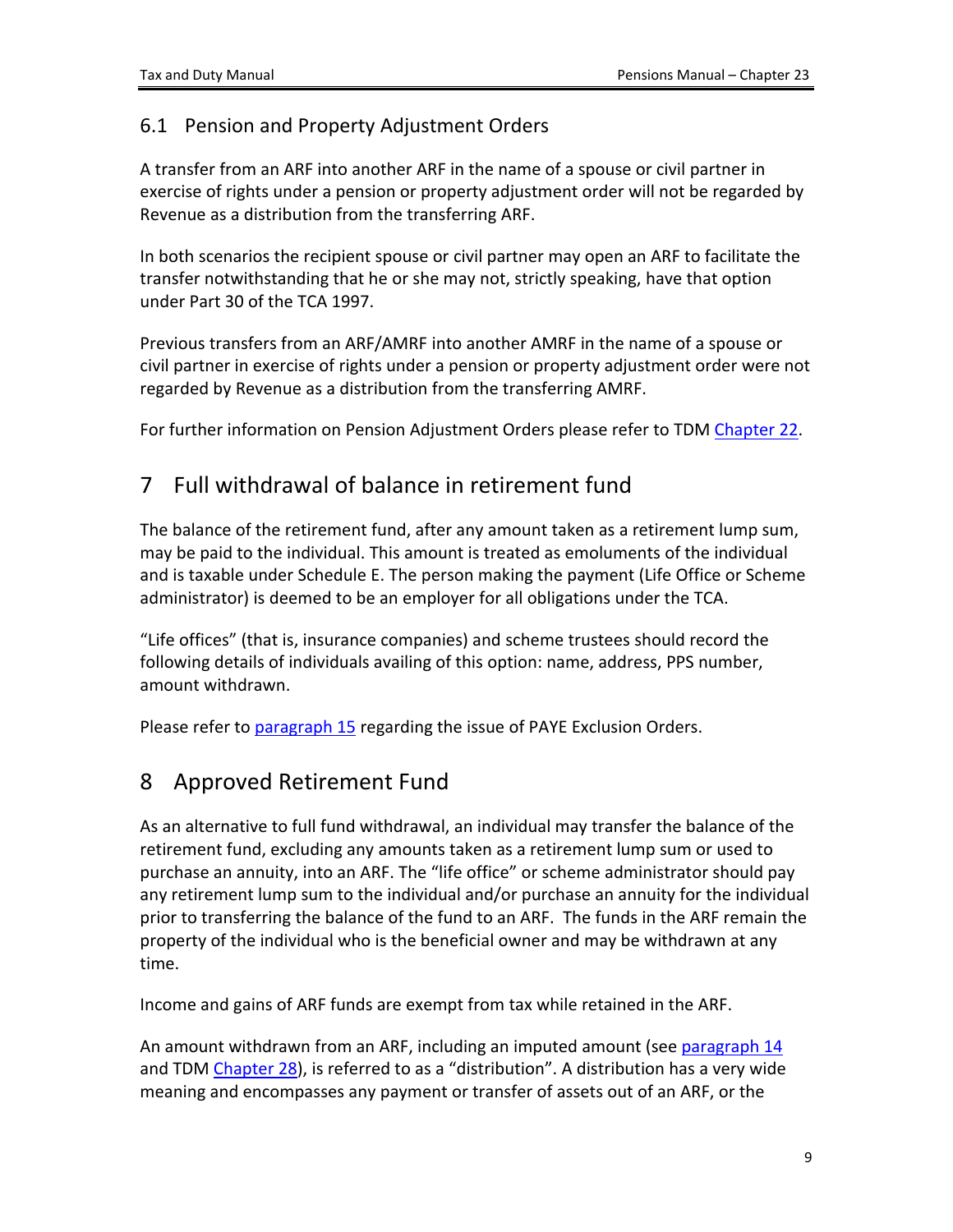### <span id="page-8-0"></span>6.1 Pension and Property Adjustment Orders

A transfer from an ARF into another ARF in the name of a spouse or civil partner in exercise of rights under a pension or property adjustment order will not be regarded by Revenue as a distribution from the transferring ARF.

In both scenarios the recipient spouse or civil partner may open an ARF to facilitate the transfer notwithstanding that he or she may not, strictly speaking, have that option under Part 30 of the TCA 1997.

Previous transfers from an ARF/AMRF into another AMRF in the name of a spouse or civil partner in exercise of rights under a pension or property adjustment order were not regarded by Revenue as a distribution from the transferring AMRF.

For further information on Pension Adjustment Orders please refer to TDM [Chapter](https://www.revenue.ie/en/tax-professionals/tdm/pensions/chapter-22.pdf) [22.](https://www.revenue.ie/en/tax-professionals/tdm/pensions/chapter-22.pdf)

# <span id="page-8-1"></span>7 Full withdrawal of balance in retirement fund

The balance of the retirement fund, after any amount taken as a retirement lump sum, may be paid to the individual. This amount is treated as emoluments of the individual and is taxable under Schedule E. The person making the payment (Life Office or Scheme administrator) is deemed to be an employer for all obligations under the TCA.

"Life offices" (that is, insurance companies) and scheme trustees should record the following details of individuals availing of this option: name, address, PPS number, amount withdrawn.

Please refer to [paragraph](#page-17-0) [15](#page-17-0) regarding the issue of PAYE Exclusion Orders.

# <span id="page-8-2"></span>8 Approved Retirement Fund

As an alternative to full fund withdrawal, an individual may transfer the balance of the retirement fund, excluding any amounts taken as a retirement lump sum or used to purchase an annuity, into an ARF. The "life office" or scheme administrator should pay any retirement lump sum to the individual and/or purchase an annuity for the individual prior to transferring the balance of the fund to an ARF. The funds in the ARF remain the property of the individual who is the beneficial owner and may be withdrawn at any time.

Income and gains of ARF funds are exempt from tax while retained in the ARF.

An amount withdrawn from an ARF, including an imputed amount (see [paragraph](#page-15-0) [14](#page-15-0) and TDM [Chapter](https://www.revenue.ie/en/tax-professionals/tdm/pensions/chapter-28.pdf) [28](https://www.revenue.ie/en/tax-professionals/tdm/pensions/chapter-28.pdf)), is referred to as a "distribution". A distribution has a very wide meaning and encompasses any payment or transfer of assets out of an ARF, or the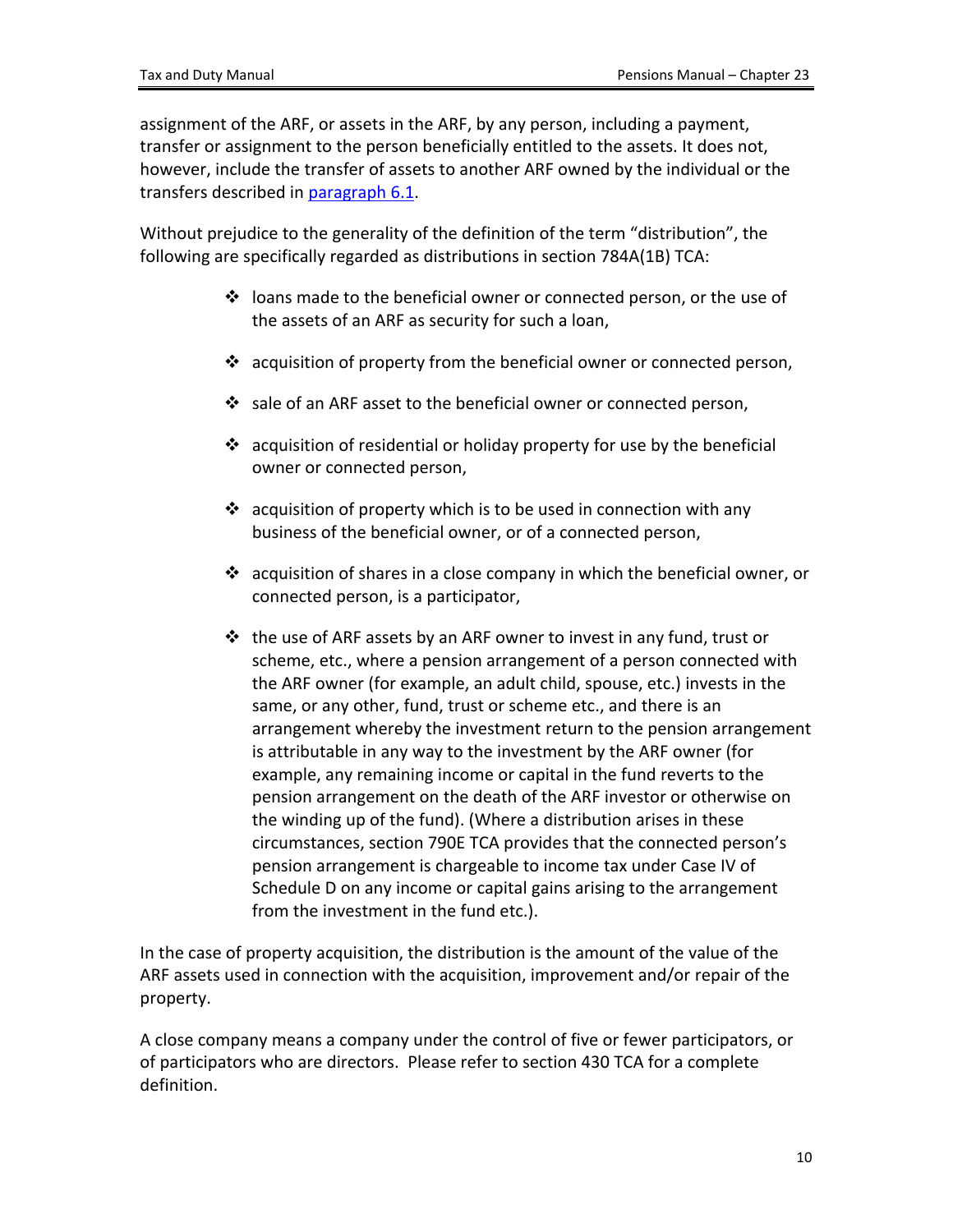assignment of the ARF, or assets in the ARF, by any person, including a payment, transfer or assignment to the person beneficially entitled to the assets. It does not, however, include the transfer of assets to another ARF owned by the individual or the transfers described in [paragraph](#page-8-0) [6.1](#page-8-0).

Without prejudice to the generality of the definition of the term "distribution", the following are specifically regarded as distributions in section 784A(1B) TCA:

- $\cdot \cdot$  loans made to the beneficial owner or connected person, or the use of the assets of an ARF as security for such a loan,
- $\cdot \cdot$  acquisition of property from the beneficial owner or connected person,
- $\cdot$  sale of an ARF asset to the beneficial owner or connected person,
- $\cdot$  acquisition of residential or holiday property for use by the beneficial owner or connected person,
- $\cdot$  acquisition of property which is to be used in connection with any business of the beneficial owner, or of a connected person,
- $\div$  acquisition of shares in a close company in which the beneficial owner, or connected person, is a participator,
- $\cdot$  the use of ARF assets by an ARF owner to invest in any fund, trust or scheme, etc., where a pension arrangement of a person connected with the ARF owner (for example, an adult child, spouse, etc.) invests in the same, or any other, fund, trust or scheme etc., and there is an arrangement whereby the investment return to the pension arrangement is attributable in any way to the investment by the ARF owner (for example, any remaining income or capital in the fund reverts to the pension arrangement on the death of the ARF investor or otherwise on the winding up of the fund). (Where a distribution arises in these circumstances, section 790E TCA provides that the connected person's pension arrangement is chargeable to income tax under Case IV of Schedule D on any income or capital gains arising to the arrangement from the investment in the fund etc.).

In the case of property acquisition, the distribution is the amount of the value of the ARF assets used in connection with the acquisition, improvement and/or repair of the property.

A close company means a company under the control of five or fewer participators, or of participators who are directors. Please refer to section 430 TCA for a complete definition.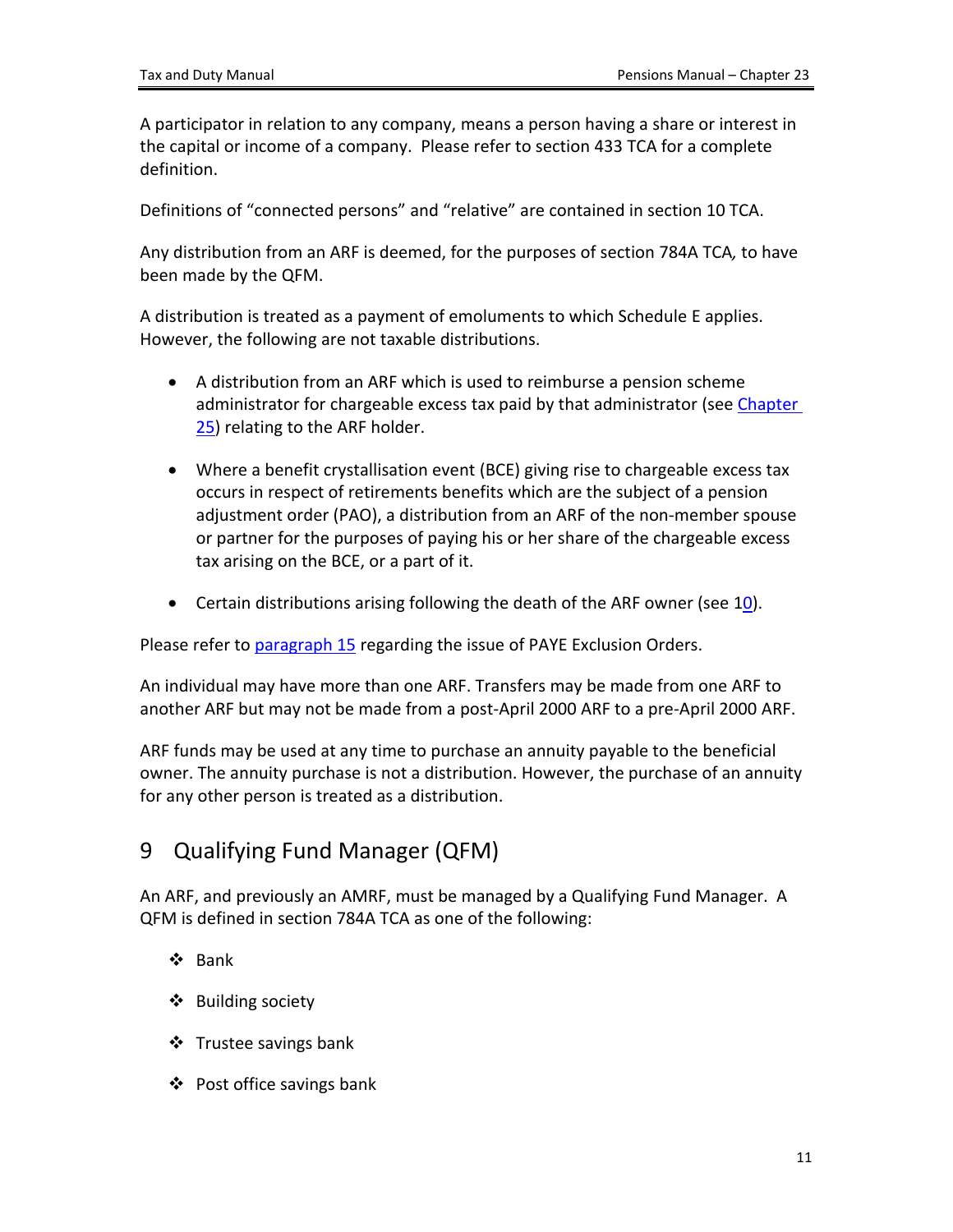A participator in relation to any company, means a person having a share or interest in the capital or income of a company. Please refer to section 433 TCA for a complete definition.

Definitions of "connected persons" and "relative" are contained in section 10 TCA.

Any distribution from an ARF is deemed, for the purposes of section 784A TCA*,* to have been made by the QFM.

A distribution is treated as a payment of emoluments to which Schedule E applies. However, the following are not taxable distributions.

- A distribution from an ARF which is used to reimburse a pension scheme administrator for chargeable excess tax paid by that administrator (see [Chapter](https://www.revenue.ie/en/tax-professionals/tdm/pensions/chapter-25.pdf) [25](https://www.revenue.ie/en/tax-professionals/tdm/pensions/chapter-25.pdf)) relating to the ARF holder.
- Where a benefit crystallisation event (BCE) giving rise to chargeable excess tax occurs in respect of retirements benefits which are the subject of a pension adjustment order (PAO), a distribution from an ARF of the non-member spouse or partner for the purposes of paying his or her share of the chargeable excess tax arising on the BCE, or a part of it.
- Certain distributions arising following the death of the ARF owner (see [10\)](#page-11-0).

Please refer to [paragraph](#page-17-0) [15](#page-17-0) regarding the issue of PAYE Exclusion Orders.

An individual may have more than one ARF. Transfers may be made from one ARF to another ARF but may not be made from a post-April 2000 ARF to a pre-April 2000 ARF.

ARF funds may be used at any time to purchase an annuity payable to the beneficial owner. The annuity purchase is not a distribution. However, the purchase of an annuity for any other person is treated as a distribution.

# <span id="page-10-0"></span>9 Qualifying Fund Manager (QFM)

An ARF, and previously an AMRF, must be managed by a Qualifying Fund Manager. A QFM is defined in section 784A TCA as one of the following:

- Bank
- $\triangle$  Building society
- ❖ Trustee savings bank
- ❖ Post office savings bank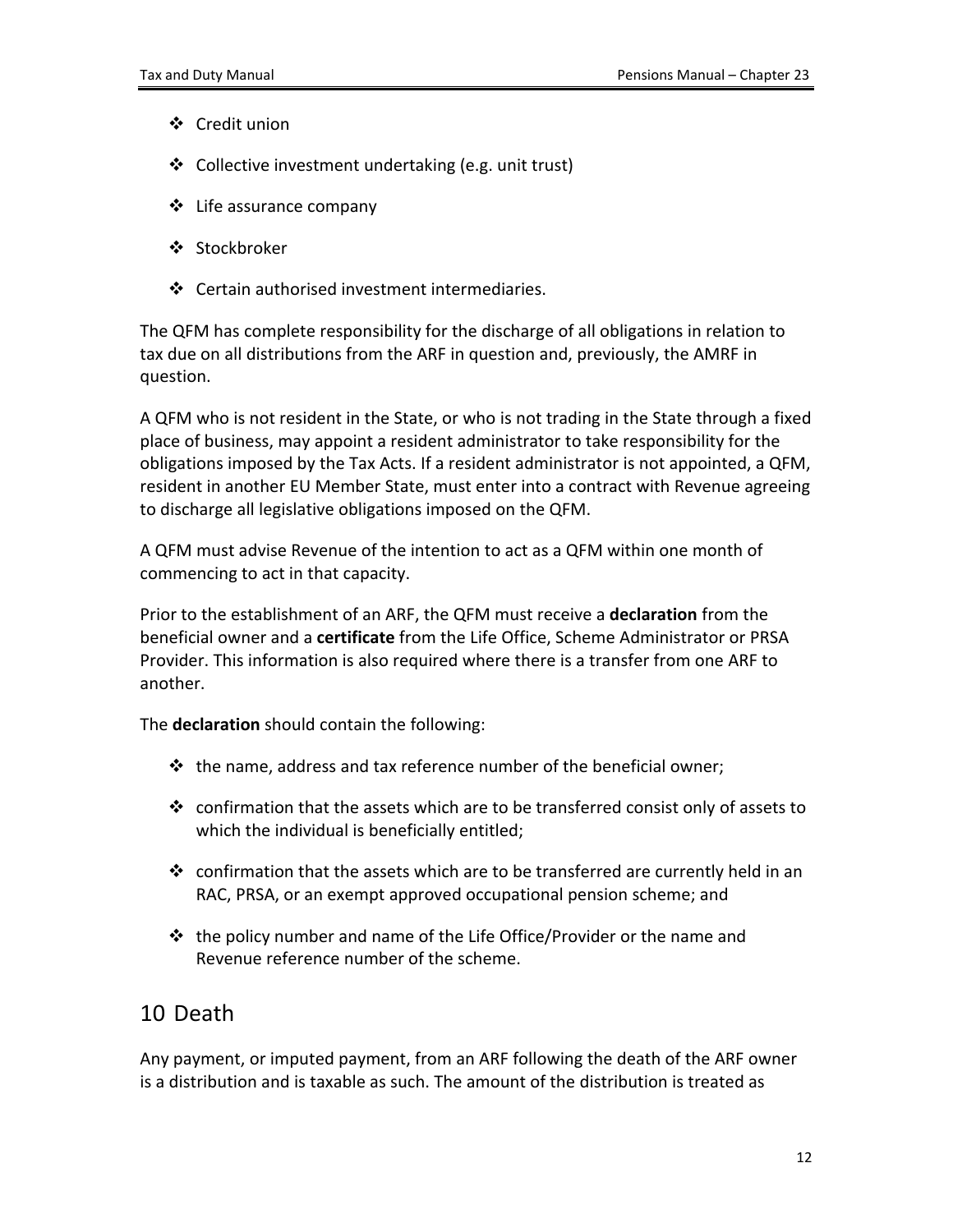- Credit union
- ❖ Collective investment undertaking (e.g. unit trust)
- ❖ Life assurance company
- ❖ Stockbroker
- ❖ Certain authorised investment intermediaries.

The QFM has complete responsibility for the discharge of all obligations in relation to tax due on all distributions from the ARF in question and, previously, the AMRF in question.

A QFM who is not resident in the State, or who is not trading in the State through a fixed place of business, may appoint a resident administrator to take responsibility for the obligations imposed by the Tax Acts. If a resident administrator is not appointed, a QFM, resident in another EU Member State, must enter into a contract with Revenue agreeing to discharge all legislative obligations imposed on the QFM.

A QFM must advise Revenue of the intention to act as a QFM within one month of commencing to act in that capacity.

Prior to the establishment of an ARF, the QFM must receive a **declaration** from the beneficial owner and a **certificate** from the Life Office, Scheme Administrator or PRSA Provider. This information is also required where there is a transfer from one ARF to another.

The **declaration** should contain the following:

- $\div$  the name, address and tax reference number of the beneficial owner;
- confirmation that the assets which are to be transferred consist only of assets to which the individual is beneficially entitled;
- $\cdot$  confirmation that the assets which are to be transferred are currently held in an RAC, PRSA, or an exempt approved occupational pension scheme; and
- $\cdot \cdot$  the policy number and name of the Life Office/Provider or the name and Revenue reference number of the scheme.

## <span id="page-11-0"></span>10 Death

Any payment, or imputed payment, from an ARF following the death of the ARF owner is a distribution and is taxable as such. The amount of the distribution is treated as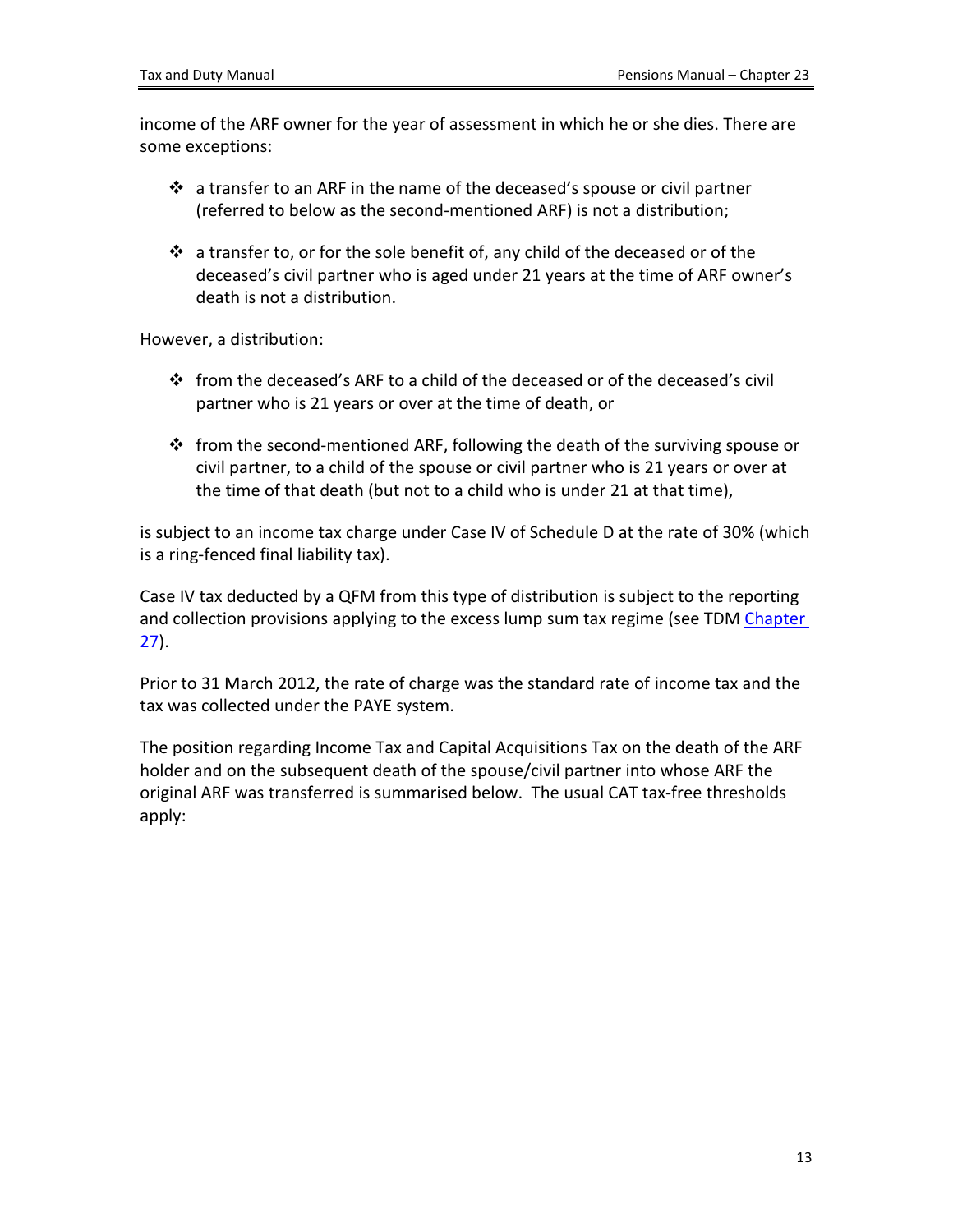income of the ARF owner for the year of assessment in which he or she dies. There are some exceptions:

- a transfer to an ARF in the name of the deceased's spouse or civil partner (referred to below as the second-mentioned ARF) is not a distribution;
- $\div$  a transfer to, or for the sole benefit of, any child of the deceased or of the deceased's civil partner who is aged under 21 years at the time of ARF owner's death is not a distribution.

However, a distribution:

- from the deceased's ARF to a child of the deceased or of the deceased's civil partner who is 21 years or over at the time of death, or
- $\cdot \cdot$  from the second-mentioned ARF, following the death of the surviving spouse or civil partner, to a child of the spouse or civil partner who is 21 years or over at the time of that death (but not to a child who is under 21 at that time),

is subject to an income tax charge under Case IV of Schedule D at the rate of 30% (which is a ring-fenced final liability tax).

Case IV tax deducted by a QFM from this type of distribution is subject to the reporting and collection provisions applying to the excess lump sum tax regime (see TDM [Chapter](https://www.revenue.ie/en/tax-professionals/tdm/pensions/chapter-27.pdf) [27](https://www.revenue.ie/en/tax-professionals/tdm/pensions/chapter-27.pdf)).

Prior to 31 March 2012, the rate of charge was the standard rate of income tax and the tax was collected under the PAYE system.

The position regarding Income Tax and Capital Acquisitions Tax on the death of the ARF holder and on the subsequent death of the spouse/civil partner into whose ARF the original ARF was transferred is summarised below. The usual CAT tax-free thresholds apply: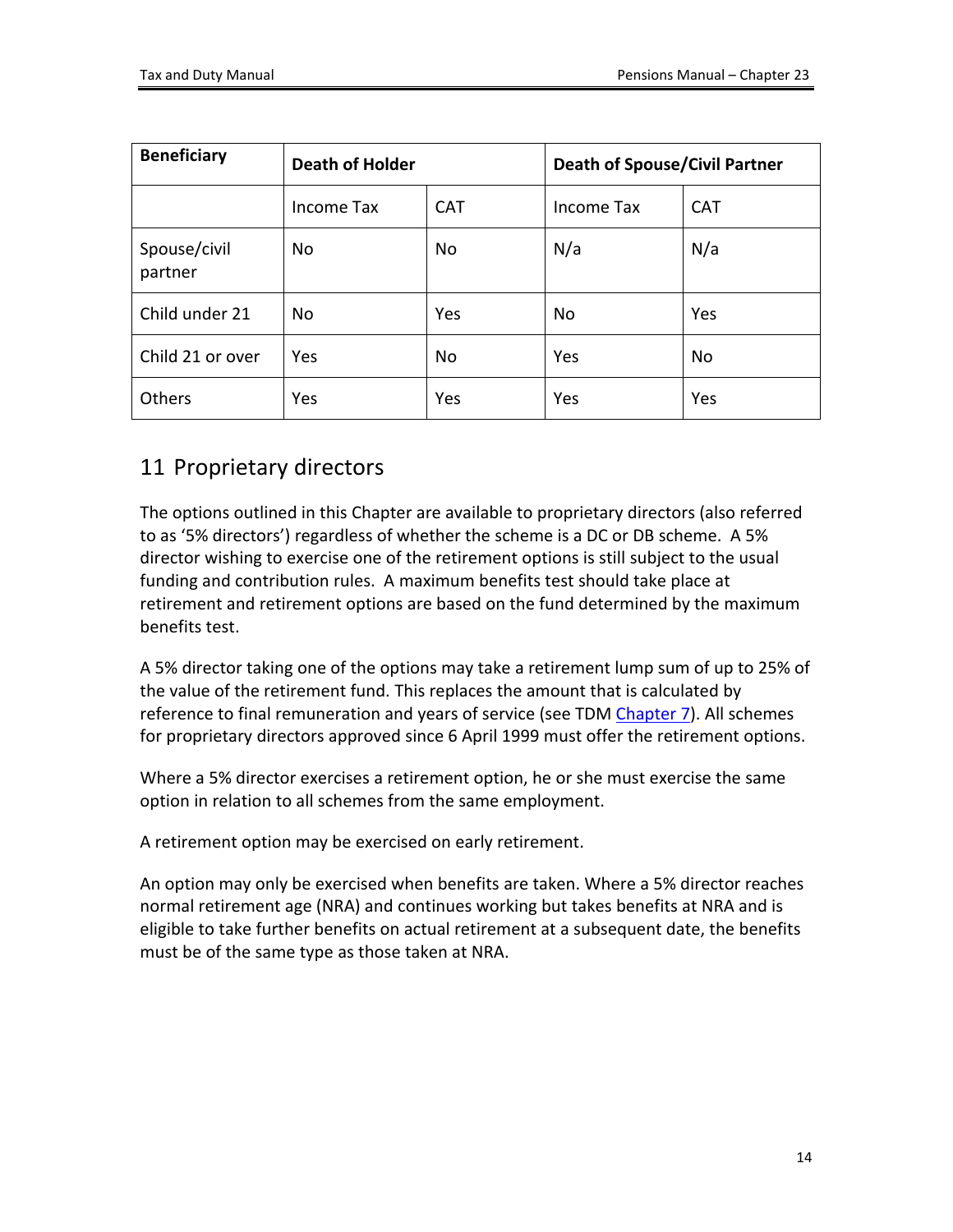| <b>Beneficiary</b>      | <b>Death of Holder</b> |            | <b>Death of Spouse/Civil Partner</b> |            |
|-------------------------|------------------------|------------|--------------------------------------|------------|
|                         | Income Tax             | <b>CAT</b> | Income Tax                           | <b>CAT</b> |
| Spouse/civil<br>partner | <b>No</b>              | No         | N/a                                  | N/a        |
| Child under 21          | No                     | Yes        | No                                   | Yes        |
| Child 21 or over        | Yes                    | No         | Yes                                  | No         |
| Others                  | Yes                    | Yes        | Yes                                  | Yes        |

# <span id="page-13-0"></span>11 Proprietary directors

The options outlined in this Chapter are available to proprietary directors (also referred to as '5% directors') regardless of whether the scheme is a DC or DB scheme. A 5% director wishing to exercise one of the retirement options is still subject to the usual funding and contribution rules. A maximum benefits test should take place at retirement and retirement options are based on the fund determined by the maximum benefits test.

A 5% director taking one of the options may take a retirement lump sum of up to 25% of the value of the retirement fund. This replaces the amount that is calculated by reference to final remuneration and years of service (see TDM [Chapter](https://www.revenue.ie/en/tax-professionals/tdm/pensions/chapter-07.pdf) [7\)](https://www.revenue.ie/en/tax-professionals/tdm/pensions/chapter-07.pdf). All schemes for proprietary directors approved since 6 April 1999 must offer the retirement options.

Where a 5% director exercises a retirement option, he or she must exercise the same option in relation to all schemes from the same employment.

A retirement option may be exercised on early retirement.

<span id="page-13-1"></span>An option may only be exercised when benefits are taken. Where a 5% director reaches normal retirement age (NRA) and continues working but takes benefits at NRA and is eligible to take further benefits on actual retirement at a subsequent date, the benefits must be of the same type as those taken at NRA.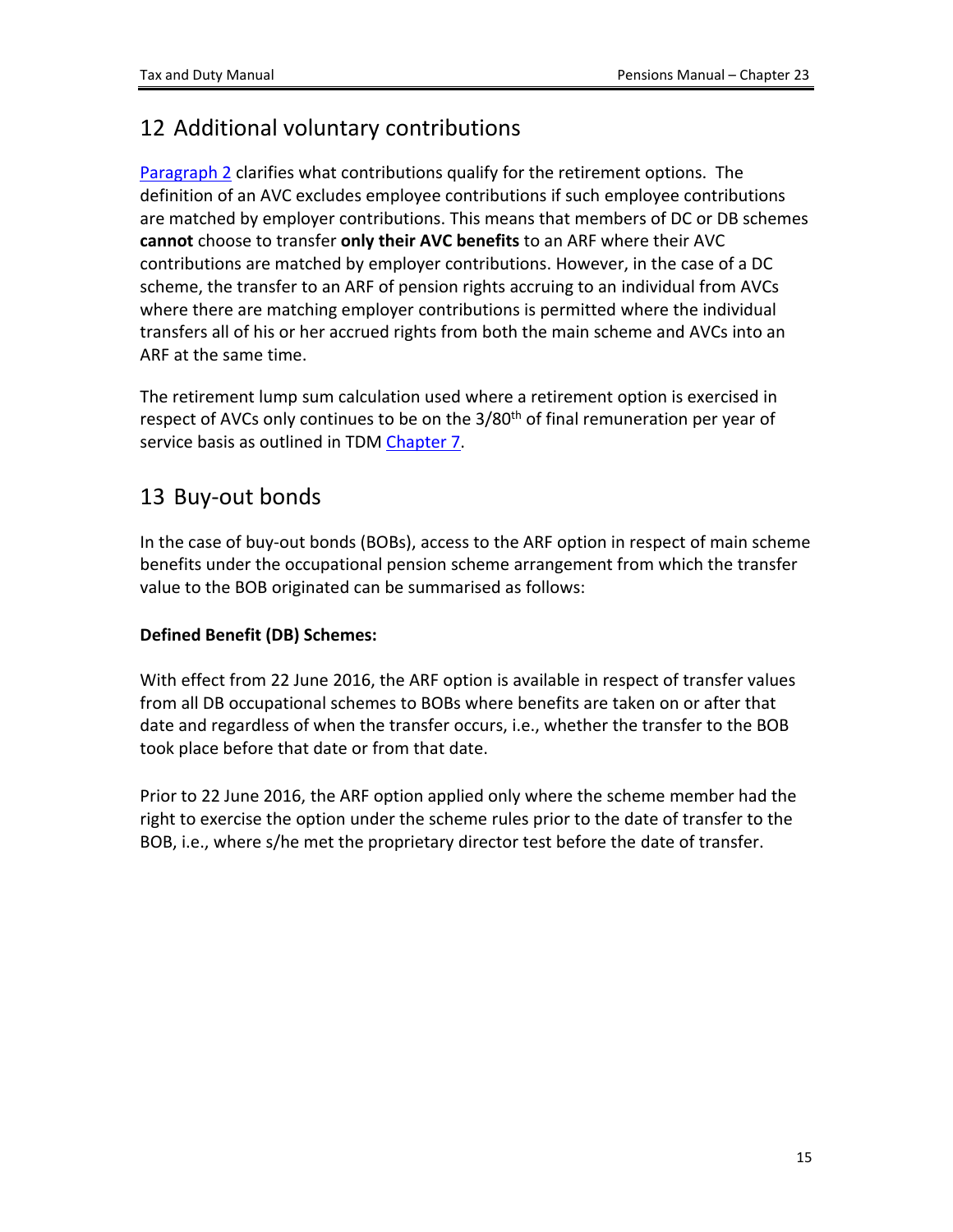# <span id="page-14-0"></span>12 Additional voluntary contributions

[Paragraph](#page-3-1) [2](#page-3-1) clarifies what contributions qualify for the retirement options. The definition of an AVC excludes employee contributions if such employee contributions are matched by employer contributions. This means that members of DC or DB schemes **cannot** choose to transfer **only their AVC benefits** to an ARF where their AVC contributions are matched by employer contributions. However, in the case of a DC scheme, the transfer to an ARF of pension rights accruing to an individual from AVCs where there are matching employer contributions is permitted where the individual transfers all of his or her accrued rights from both the main scheme and AVCs into an ARF at the same time.

The retirement lump sum calculation used where a retirement option is exercised in respect of AVCs only continues to be on the 3/80<sup>th</sup> of final remuneration per year of service basis as outlined in TDM [Chapter](https://www.revenue.ie/en/tax-professionals/tdm/pensions/chapter-07.pdf) [7.](https://www.revenue.ie/en/tax-professionals/tdm/pensions/chapter-07.pdf)

## <span id="page-14-1"></span>13 Buy-out bonds

In the case of buy-out bonds (BOBs), access to the ARF option in respect of main scheme benefits under the occupational pension scheme arrangement from which the transfer value to the BOB originated can be summarised as follows:

### **Defined Benefit (DB) Schemes:**

With effect from 22 June 2016, the ARF option is available in respect of transfer values from all DB occupational schemes to BOBs where benefits are taken on or after that date and regardless of when the transfer occurs, i.e., whether the transfer to the BOB took place before that date or from that date.

Prior to 22 June 2016, the ARF option applied only where the scheme member had the right to exercise the option under the scheme rules prior to the date of transfer to the BOB, i.e., where s/he met the proprietary director test before the date of transfer.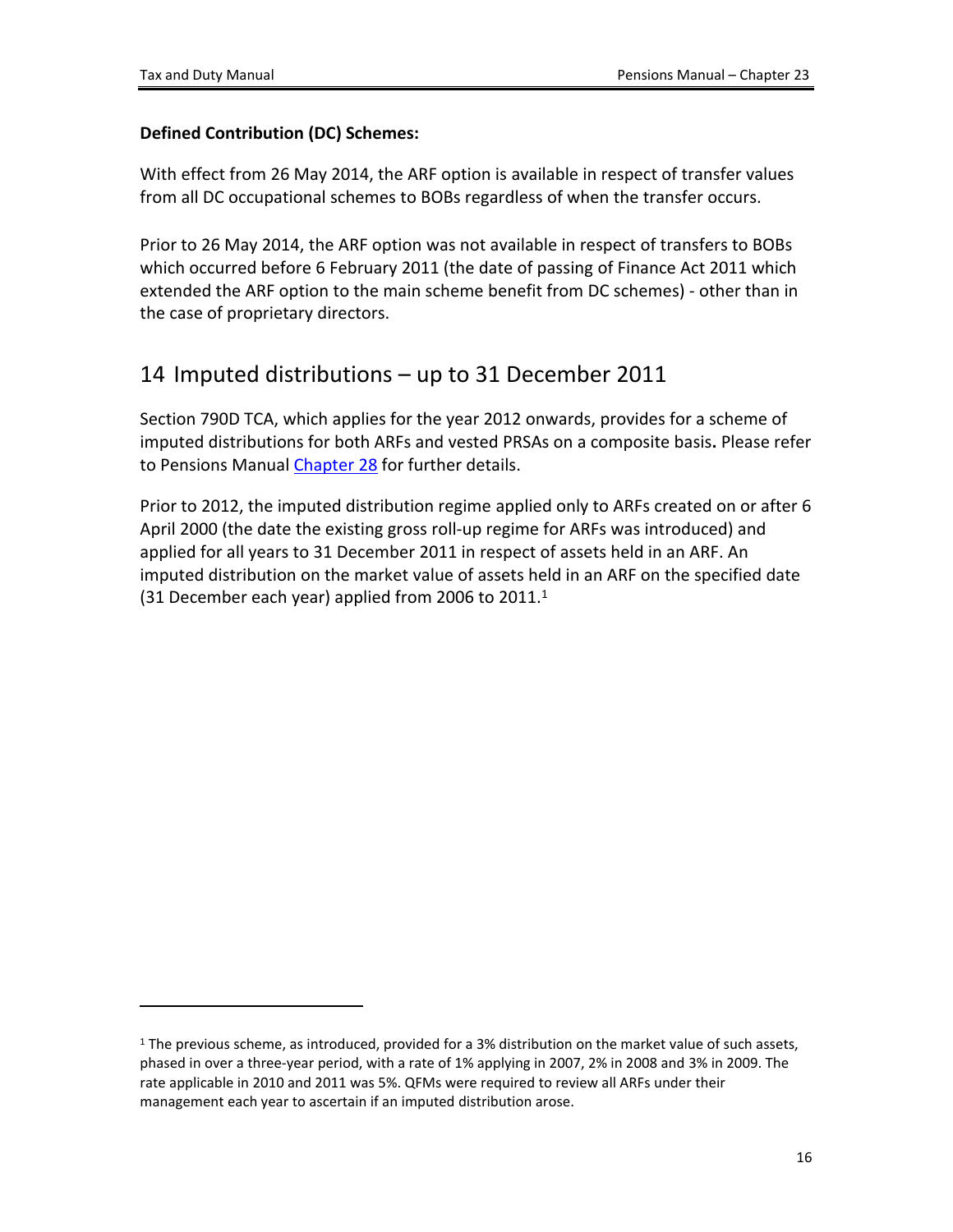### **Defined Contribution (DC) Schemes:**

With effect from 26 May 2014, the ARF option is available in respect of transfer values from all DC occupational schemes to BOBs regardless of when the transfer occurs.

Prior to 26 May 2014, the ARF option was not available in respect of transfers to BOBs which occurred before 6 February 2011 (the date of passing of Finance Act 2011 which extended the ARF option to the main scheme benefit from DC schemes) - other than in the case of proprietary directors.

## <span id="page-15-0"></span>14 Imputed distributions – up to 31 December 2011

Section 790D TCA, which applies for the year 2012 onwards, provides for a scheme of imputed distributions for both ARFs and vested PRSAs on a composite basis**.** Please refer to Pensions Manual [Chapter](https://www.revenue.ie/en/tax-professionals/tdm/pensions/chapter-28.pdf) [28](https://www.revenue.ie/en/tax-professionals/tdm/pensions/chapter-28.pdf) for further details.

Prior to 2012, the imputed distribution regime applied only to ARFs created on or after 6 April 2000 (the date the existing gross roll-up regime for ARFs was introduced) and applied for all years to 31 December 2011 in respect of assets held in an ARF. An imputed distribution on the market value of assets held in an ARF on the specified date (31 December each year) applied from 2006 to  $2011.<sup>1</sup>$ 

<sup>&</sup>lt;sup>1</sup> The previous scheme, as introduced, provided for a 3% distribution on the market value of such assets, phased in over a three-year period, with a rate of 1% applying in 2007, 2% in 2008 and 3% in 2009. The rate applicable in 2010 and 2011 was 5%. QFMs were required to review all ARFs under their management each year to ascertain if an imputed distribution arose.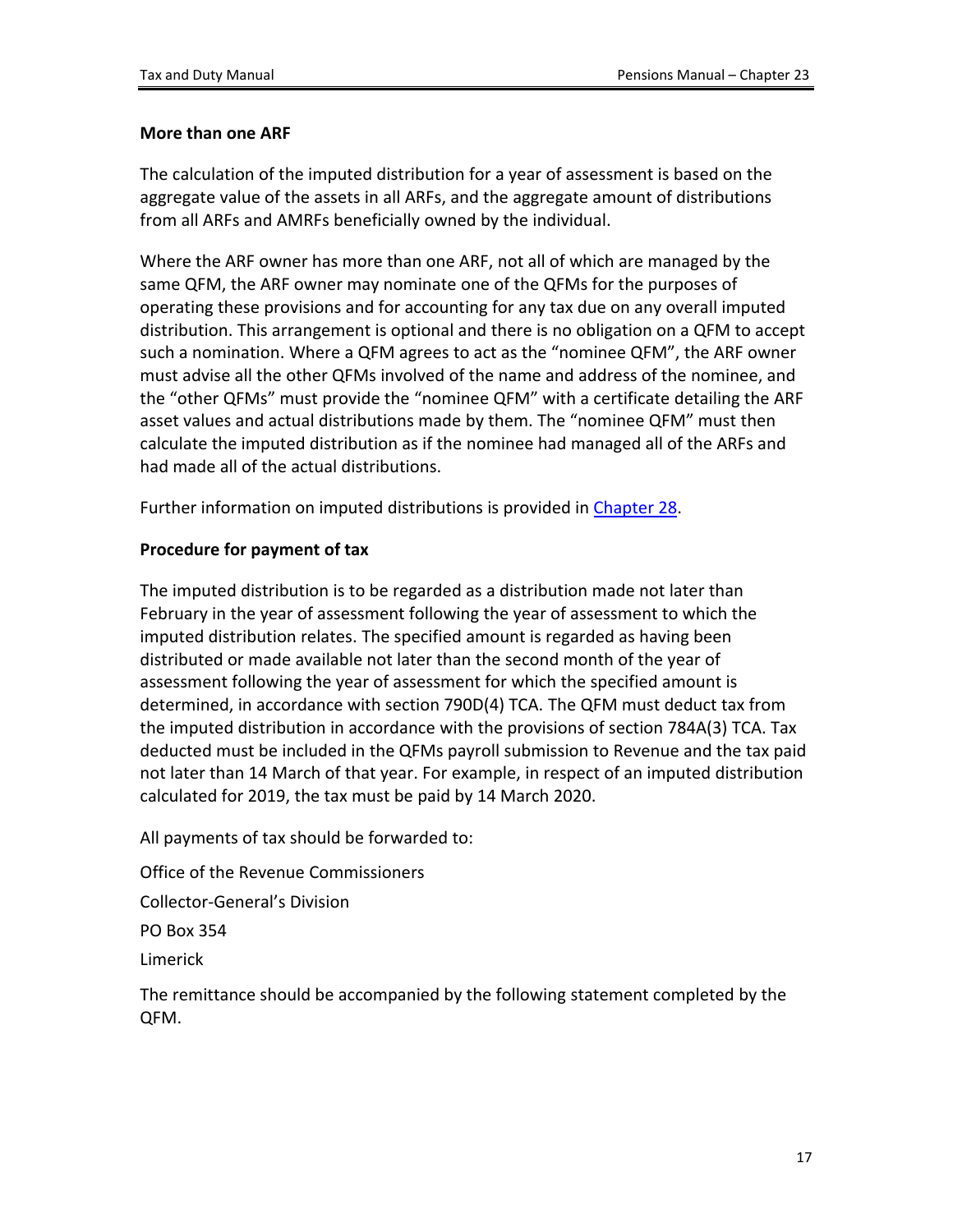#### **More than one ARF**

The calculation of the imputed distribution for a year of assessment is based on the aggregate value of the assets in all ARFs, and the aggregate amount of distributions from all ARFs and AMRFs beneficially owned by the individual.

Where the ARF owner has more than one ARF, not all of which are managed by the same QFM, the ARF owner may nominate one of the QFMs for the purposes of operating these provisions and for accounting for any tax due on any overall imputed distribution. This arrangement is optional and there is no obligation on a QFM to accept such a nomination. Where a QFM agrees to act as the "nominee QFM", the ARF owner must advise all the other QFMs involved of the name and address of the nominee, and the "other QFMs" must provide the "nominee QFM" with a certificate detailing the ARF asset values and actual distributions made by them. The "nominee QFM" must then calculate the imputed distribution as if the nominee had managed all of the ARFs and had made all of the actual distributions.

Further information on imputed distributions is provided in [Chapter](https://www.revenue.ie/en/tax-professionals/tdm/pensions/chapter-28.pdf) [28](https://www.revenue.ie/en/tax-professionals/tdm/pensions/chapter-28.pdf).

#### **Procedure for payment of tax**

The imputed distribution is to be regarded as a distribution made not later than February in the year of assessment following the year of assessment to which the imputed distribution relates. The specified amount is regarded as having been distributed or made available not later than the second month of the year of assessment following the year of assessment for which the specified amount is determined, in accordance with section 790D(4) TCA. The QFM must deduct tax from the imputed distribution in accordance with the provisions of section 784A(3) TCA. Tax deducted must be included in the QFMs payroll submission to Revenue and the tax paid not later than 14 March of that year. For example, in respect of an imputed distribution calculated for 2019, the tax must be paid by 14 March 2020.

All payments of tax should be forwarded to:

Office of the Revenue Commissioners

Collector-General's Division

PO Box 354

Limerick

The remittance should be accompanied by the following statement completed by the QFM.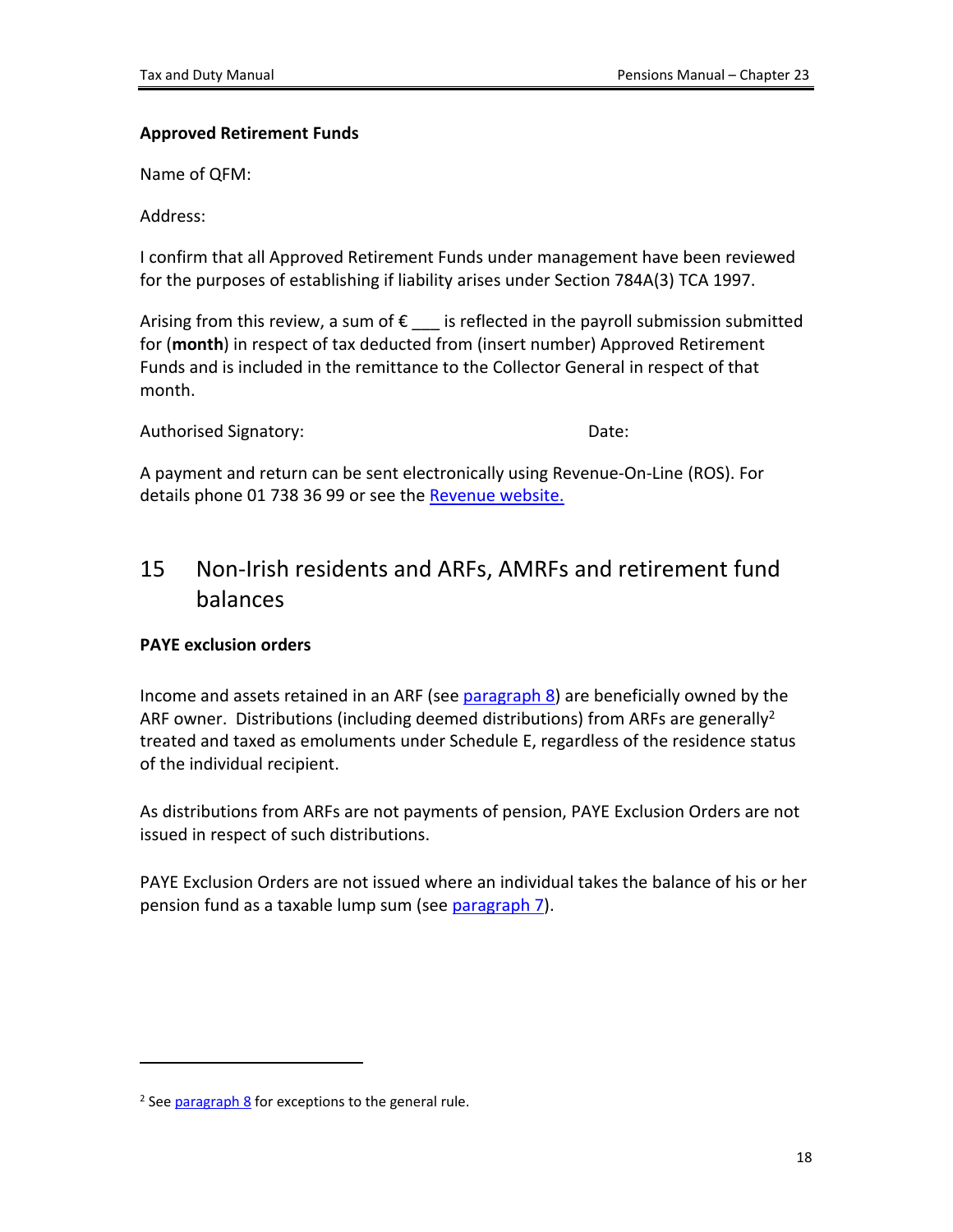### **Approved Retirement Funds**

Name of QFM:

Address:

I confirm that all Approved Retirement Funds under management have been reviewed for the purposes of establishing if liability arises under Section 784A(3) TCA 1997.

Arising from this review, a sum of  $\epsilon$  is reflected in the payroll submission submitted for (**month**) in respect of tax deducted from (insert number) Approved Retirement Funds and is included in the remittance to the Collector General in respect of that month.

Authorised Signatory: The Contract of the Date:

A payment and return can be sent electronically using Revenue-On-Line (ROS). For details phone 01 738 36 99 or see the [Revenue](http://www.revenue.ie/en/online/ros/index.html) [website.](http://www.revenue.ie/en/online/ros/index.html)

# <span id="page-17-0"></span>15 Non-Irish residents and ARFs, AMRFs and retirement fund balances

### **PAYE exclusion orders**

Income and assets retained in an ARF (see [paragraph](#page-8-2) [8\)](#page-8-2) are beneficially owned by the ARF owner. Distributions (including deemed distributions) from ARFs are generally<sup>2</sup> treated and taxed as emoluments under Schedule E, regardless of the residence status of the individual recipient.

As distributions from ARFs are not payments of pension, PAYE Exclusion Orders are not issued in respect of such distributions.

PAYE Exclusion Orders are not issued where an individual takes the balance of his or her pension fund as a taxable lump sum (see [paragraph](#page-8-1) [7\)](#page-8-1).

<sup>&</sup>lt;sup>2</sup> See [paragraph](#page-8-2) [8](#page-8-2) for exceptions to the general rule.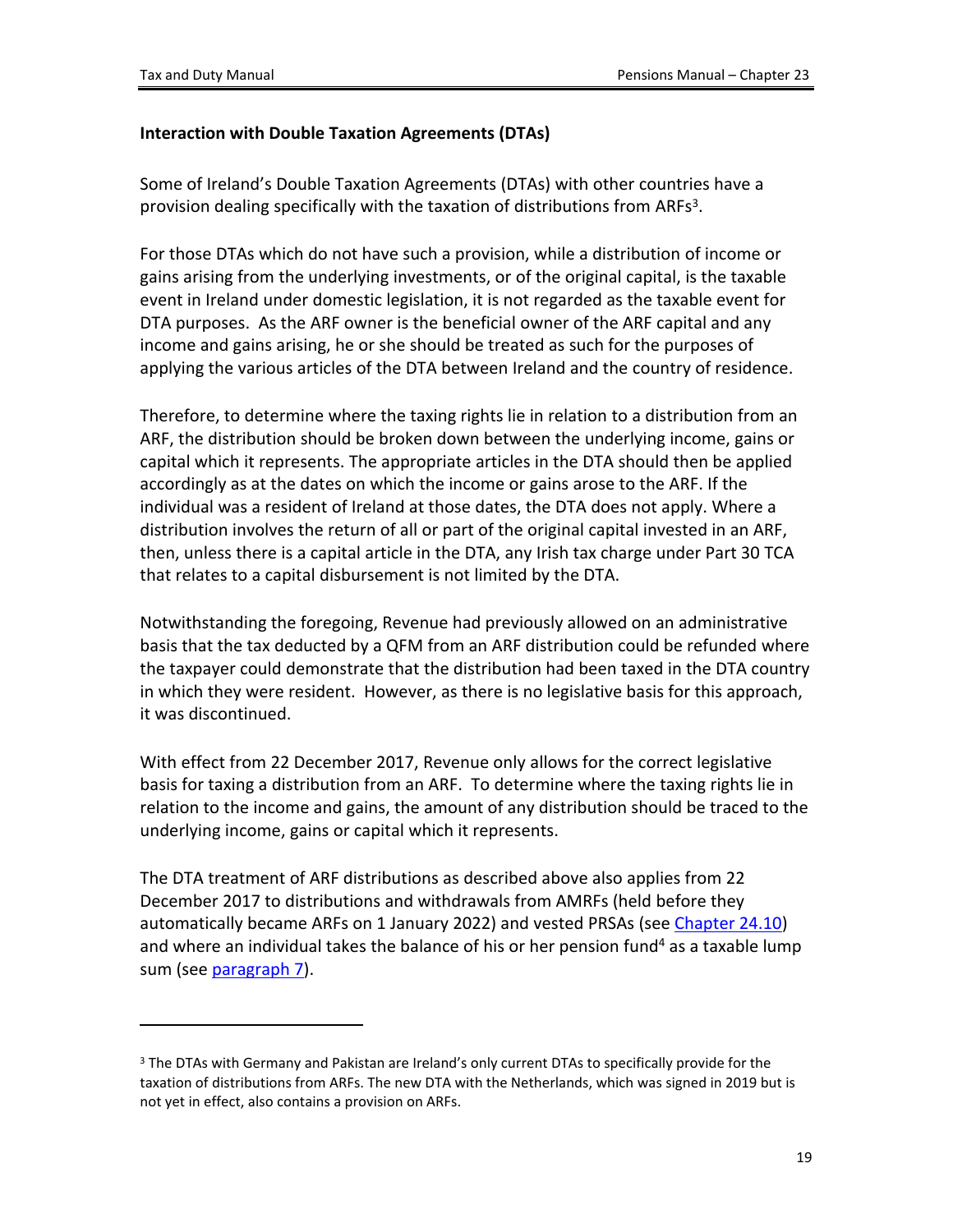### **Interaction with Double Taxation Agreements (DTAs)**

Some of Ireland's Double Taxation Agreements (DTAs) with other countries have a provision dealing specifically with the taxation of distributions from ARFs<sup>3</sup>.

For those DTAs which do not have such a provision, while a distribution of income or gains arising from the underlying investments, or of the original capital, is the taxable event in Ireland under domestic legislation, it is not regarded as the taxable event for DTA purposes. As the ARF owner is the beneficial owner of the ARF capital and any income and gains arising, he or she should be treated as such for the purposes of applying the various articles of the DTA between Ireland and the country of residence.

Therefore, to determine where the taxing rights lie in relation to a distribution from an ARF, the distribution should be broken down between the underlying income, gains or capital which it represents. The appropriate articles in the DTA should then be applied accordingly as at the dates on which the income or gains arose to the ARF. If the individual was a resident of Ireland at those dates, the DTA does not apply. Where a distribution involves the return of all or part of the original capital invested in an ARF, then, unless there is a capital article in the DTA, any Irish tax charge under Part 30 TCA that relates to a capital disbursement is not limited by the DTA.

Notwithstanding the foregoing, Revenue had previously allowed on an administrative basis that the tax deducted by a QFM from an ARF distribution could be refunded where the taxpayer could demonstrate that the distribution had been taxed in the DTA country in which they were resident. However, as there is no legislative basis for this approach, it was discontinued.

With effect from 22 December 2017, Revenue only allows for the correct legislative basis for taxing a distribution from an ARF. To determine where the taxing rights lie in relation to the income and gains, the amount of any distribution should be traced to the underlying income, gains or capital which it represents.

The DTA treatment of ARF distributions as described above also applies from 22 December 2017 to distributions and withdrawals from AMRFs (held before they automatically became ARFs on 1 January 2022) and vested PRSAs (see [Chapter](https://www.revenue.ie/en/tax-professionals/tdm/pensions/chapter-24.pdf) [24.10\)](https://www.revenue.ie/en/tax-professionals/tdm/pensions/chapter-24.pdf) and where an individual takes the balance of his or her pension fund<sup>4</sup> as a taxable lump sum (see [paragraph](#page-8-1) [7](#page-8-1)).

<sup>&</sup>lt;sup>3</sup> The DTAs with Germany and Pakistan are Ireland's only current DTAs to specifically provide for the taxation of distributions from ARFs. The new DTA with the Netherlands, which was signed in 2019 but is not yet in effect, also contains a provision on ARFs.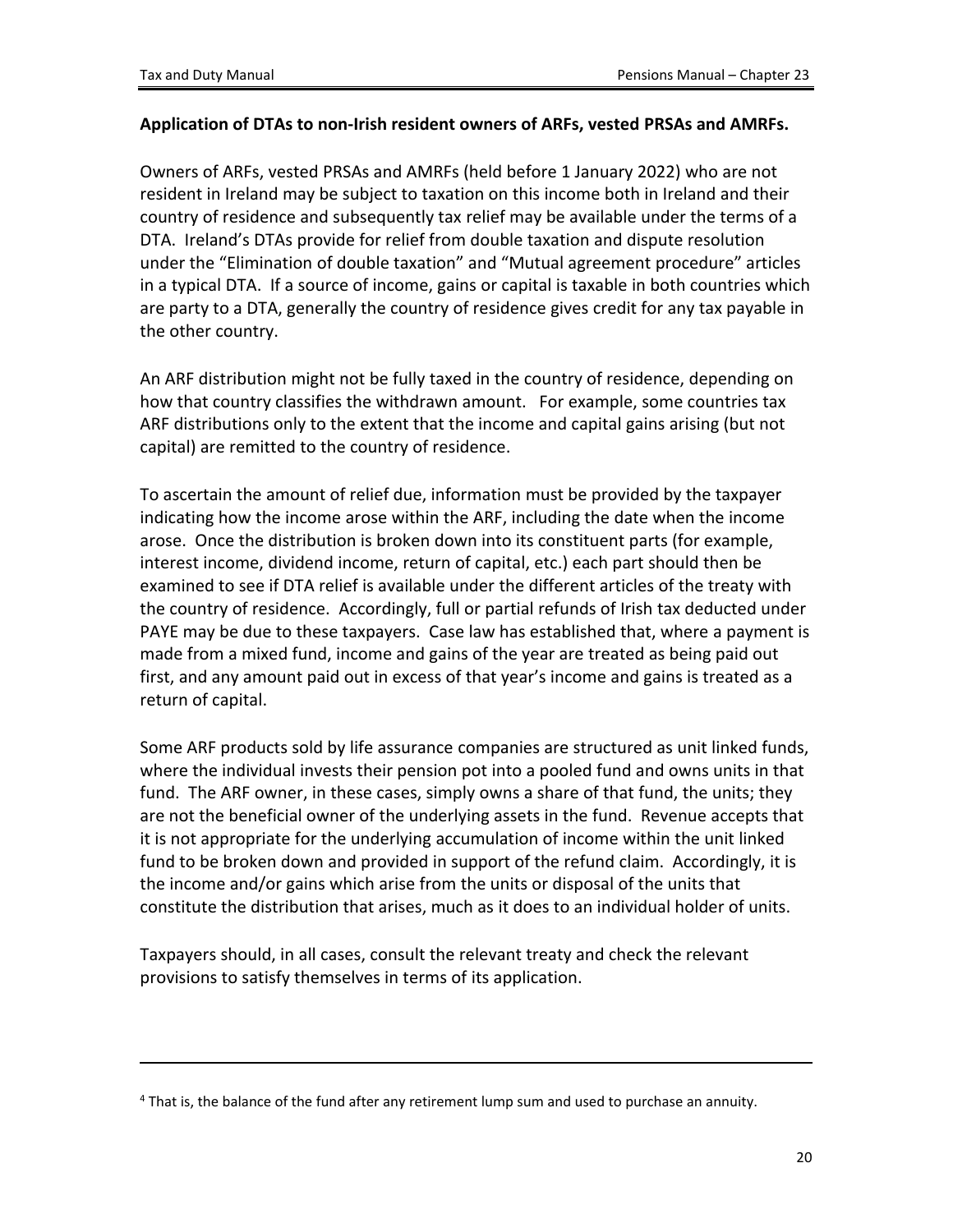#### **Application of DTAs to non-Irish resident owners of ARFs, vested PRSAs and AMRFs.**

Owners of ARFs, vested PRSAs and AMRFs (held before 1 January 2022) who are not resident in Ireland may be subject to taxation on this income both in Ireland and their country of residence and subsequently tax relief may be available under the terms of a DTA. Ireland's DTAs provide for relief from double taxation and dispute resolution under the "Elimination of double taxation" and "Mutual agreement procedure" articles in a typical DTA. If a source of income, gains or capital is taxable in both countries which are party to a DTA, generally the country of residence gives credit for any tax payable in the other country.

An ARF distribution might not be fully taxed in the country of residence, depending on how that country classifies the withdrawn amount. For example, some countries tax ARF distributions only to the extent that the income and capital gains arising (but not capital) are remitted to the country of residence.

To ascertain the amount of relief due, information must be provided by the taxpayer indicating how the income arose within the ARF, including the date when the income arose. Once the distribution is broken down into its constituent parts (for example, interest income, dividend income, return of capital, etc.) each part should then be examined to see if DTA relief is available under the different articles of the treaty with the country of residence. Accordingly, full or partial refunds of Irish tax deducted under PAYE may be due to these taxpayers. Case law has established that, where a payment is made from a mixed fund, income and gains of the year are treated as being paid out first, and any amount paid out in excess of that year's income and gains is treated as a return of capital.

Some ARF products sold by life assurance companies are structured as unit linked funds, where the individual invests their pension pot into a pooled fund and owns units in that fund. The ARF owner, in these cases, simply owns a share of that fund, the units; they are not the beneficial owner of the underlying assets in the fund. Revenue accepts that it is not appropriate for the underlying accumulation of income within the unit linked fund to be broken down and provided in support of the refund claim. Accordingly, it is the income and/or gains which arise from the units or disposal of the units that constitute the distribution that arises, much as it does to an individual holder of units.

Taxpayers should, in all cases, consult the relevant treaty and check the relevant provisions to satisfy themselves in terms of its application.

<sup>&</sup>lt;sup>4</sup> That is, the balance of the fund after any retirement lump sum and used to purchase an annuity.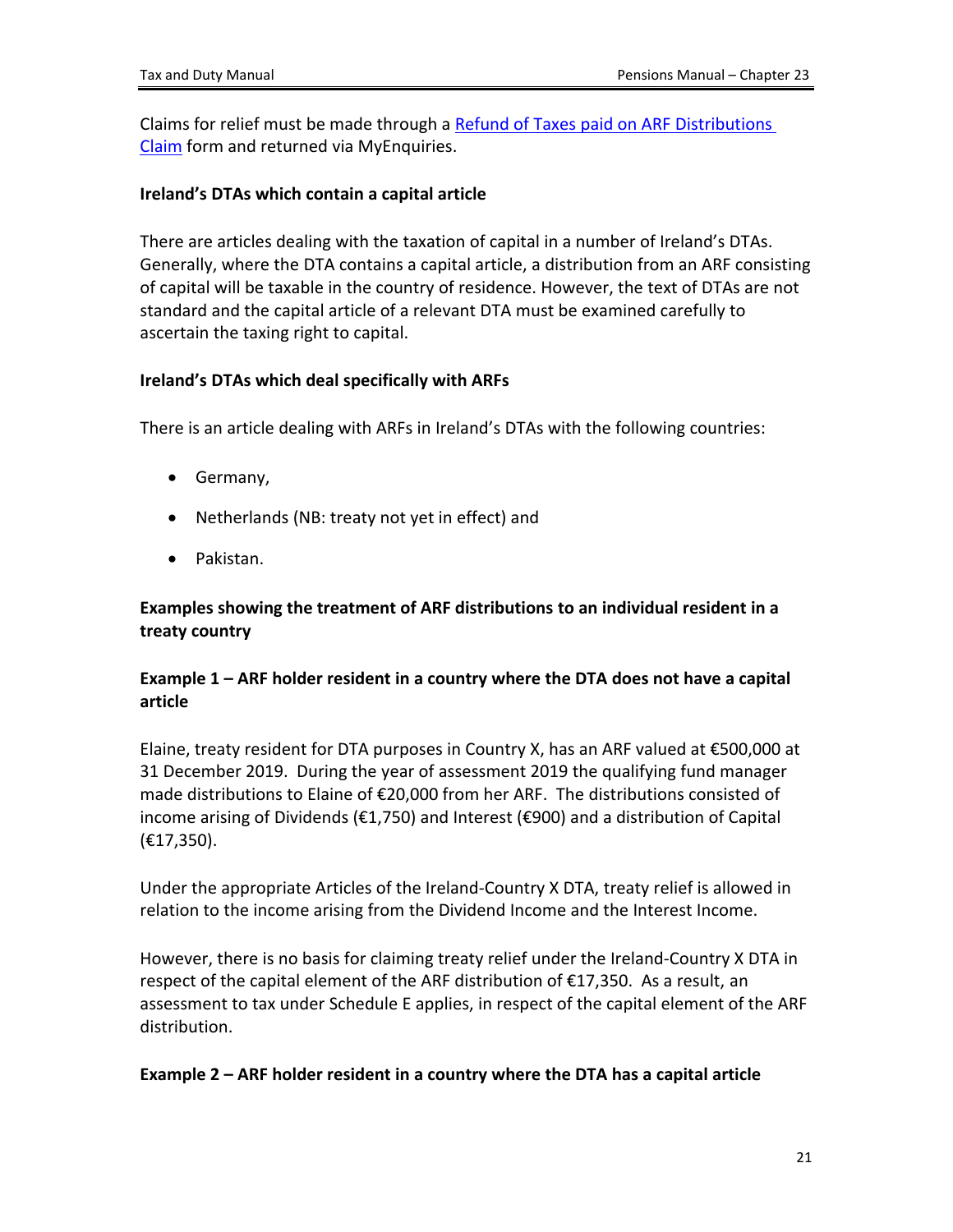Claims for relief must be made through a [Refund](https://www.revenue.ie/en/jobs-and-pensions/documents/refund-of-taxes-paid-on-arf-distributions.pdf) [of](https://www.revenue.ie/en/jobs-and-pensions/documents/refund-of-taxes-paid-on-arf-distributions.pdf) [Taxes](https://www.revenue.ie/en/jobs-and-pensions/documents/refund-of-taxes-paid-on-arf-distributions.pdf) [paid](https://www.revenue.ie/en/jobs-and-pensions/documents/refund-of-taxes-paid-on-arf-distributions.pdf) [on](https://www.revenue.ie/en/jobs-and-pensions/documents/refund-of-taxes-paid-on-arf-distributions.pdf) [ARF](https://www.revenue.ie/en/jobs-and-pensions/documents/refund-of-taxes-paid-on-arf-distributions.pdf) [Distributions](https://www.revenue.ie/en/jobs-and-pensions/documents/refund-of-taxes-paid-on-arf-distributions.pdf) [Claim](https://www.revenue.ie/en/jobs-and-pensions/documents/refund-of-taxes-paid-on-arf-distributions.pdf) form and returned via MyEnquiries.

### **Ireland's DTAs which contain a capital article**

There are articles dealing with the taxation of capital in a number of Ireland's DTAs. Generally, where the DTA contains a capital article, a distribution from an ARF consisting of capital will be taxable in the country of residence. However, the text of DTAs are not standard and the capital article of a relevant DTA must be examined carefully to ascertain the taxing right to capital.

### **Ireland's DTAs which deal specifically with ARFs**

There is an article dealing with ARFs in Ireland's DTAs with the following countries:

- Germany,
- Netherlands (NB: treaty not yet in effect) and
- Pakistan.

### **Examples showing the treatment of ARF distributions to an individual resident in a treaty country**

### **Example 1 – ARF holder resident in a country where the DTA does not have a capital article**

Elaine, treaty resident for DTA purposes in Country X, has an ARF valued at €500,000 at 31 December 2019. During the year of assessment 2019 the qualifying fund manager made distributions to Elaine of €20,000 from her ARF. The distributions consisted of income arising of Dividends (€1,750) and Interest (€900) and a distribution of Capital (€17,350).

Under the appropriate Articles of the Ireland-Country X DTA, treaty relief is allowed in relation to the income arising from the Dividend Income and the Interest Income.

However, there is no basis for claiming treaty relief under the Ireland-Country X DTA in respect of the capital element of the ARF distribution of €17,350. As a result, an assessment to tax under Schedule E applies, in respect of the capital element of the ARF distribution.

### **Example 2 – ARF holder resident in a country where the DTA has a capital article**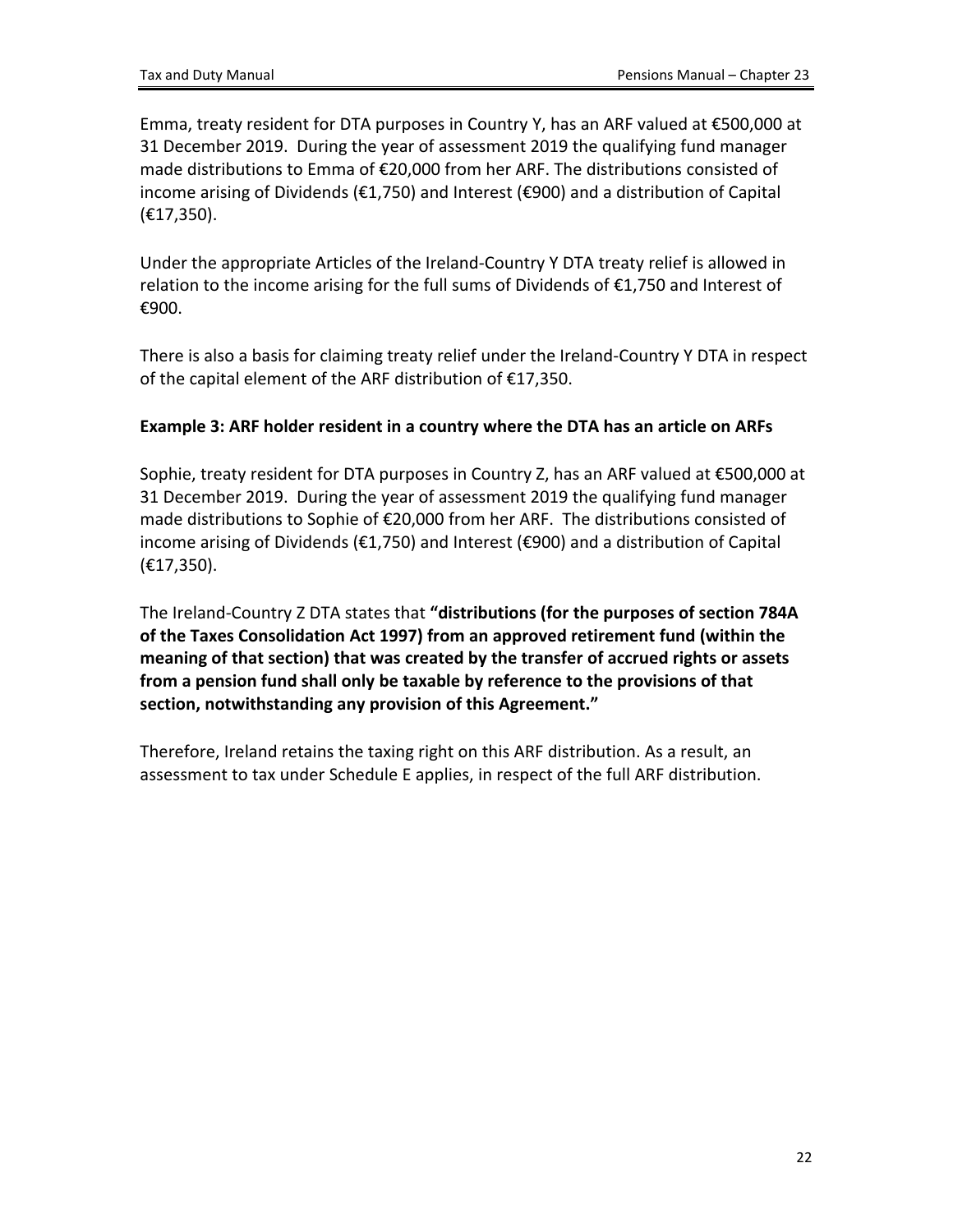Emma, treaty resident for DTA purposes in Country Y, has an ARF valued at €500,000 at 31 December 2019. During the year of assessment 2019 the qualifying fund manager made distributions to Emma of €20,000 from her ARF. The distributions consisted of income arising of Dividends (€1,750) and Interest (€900) and a distribution of Capital (€17,350).

Under the appropriate Articles of the Ireland-Country Y DTA treaty relief is allowed in relation to the income arising for the full sums of Dividends of €1,750 and Interest of €900.

There is also a basis for claiming treaty relief under the Ireland-Country Y DTA in respect of the capital element of the ARF distribution of €17,350.

### **Example 3: ARF holder resident in a country where the DTA has an article on ARFs**

Sophie, treaty resident for DTA purposes in Country Z, has an ARF valued at €500,000 at 31 December 2019. During the year of assessment 2019 the qualifying fund manager made distributions to Sophie of €20,000 from her ARF. The distributions consisted of income arising of Dividends (€1,750) and Interest (€900) and a distribution of Capital (€17,350).

The Ireland-Country Z DTA states that **"distributions (for the purposes of section 784A of the Taxes Consolidation Act 1997) from an approved retirement fund (within the meaning of that section) that was created by the transfer of accrued rights or assets from a pension fund shall only be taxable by reference to the provisions of that section, notwithstanding any provision of this Agreement."**

Therefore, Ireland retains the taxing right on this ARF distribution. As a result, an assessment to tax under Schedule E applies, in respect of the full ARF distribution.